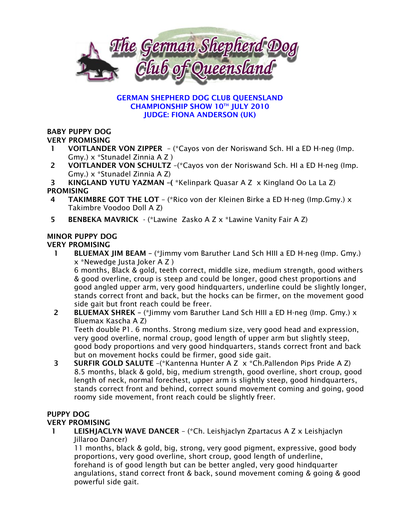

#### GERMAN SHEPHERD DOG CLUB QUEENSLAND CHAMPIONSHIP SHOW 10TH JULY 2010 JUDGE: FIONA ANDERSON (UK)

# BABY PUPPY DOG

## VERY PROMISING

- 1 VOITLANDER VON ZIPPER (\*Cayos von der Noriswand Sch. HI a ED H-neg (Imp. Gmy.) x \*Stunadel Zinnia A Z )
- 2 VOITLANDER VON SCHULTZ –(\*Cayos von der Noriswand Sch. HI a ED H-neg (Imp. Gmy.) x \*Stunadel Zinnia A Z)

3 KINGLAND YUTU YAZMAN –( \*Kelinpark Quasar A Z x Kingland Oo La La Z) PROMISING

- 4 TAKIMBRE GOT THE LOT (\*Rico von der Kleinen Birke a ED H-neg (Imp.Gmy.) x Takimbre Voodoo Doll A Z)
- 5 BENBEKA MAVRICK (\*Lawine Zasko A Z x \*Lawine Vanity Fair A Z)

# MINOR PUPPY DOG

## VERY PROMISING

 1 BLUEMAX JIM BEAM – (\*Jimmy vom Baruther Land Sch HIII a ED H-neg (Imp. Gmy.) x \*Newedge Justa Joker A Z )

6 months, Black & gold, teeth correct, middle size, medium strength, good withers & good overline, croup is steep and could be longer, good chest proportions and good angled upper arm, very good hindquarters, underline could be slightly longer, stands correct front and back, but the hocks can be firmer, on the movement good side gait but front reach could be freer.

 2 BLUEMAX SHREK – (\*Jimmy vom Baruther Land Sch HIII a ED H-neg (Imp. Gmy.) x Bluemax Kascha A Z)

Teeth double P1. 6 months. Strong medium size, very good head and expression, very good overline, normal croup, good length of upper arm but slightly steep, good body proportions and very good hindquarters, stands correct front and back but on movement hocks could be firmer, good side gait.

 3 SURFIR GOLD SALUTE –(\*Kantenna Hunter A Z x \*Ch.Pallendon Pips Pride A Z) 8.5 months, black & gold, big, medium strength, good overline, short croup, good length of neck, normal forechest, upper arm is slightly steep, good hindquarters, stands correct front and behind, correct sound movement coming and going, good roomy side movement, front reach could be slightly freer.

## PUPPY DOG

## VERY PROMISING

 1 LEISHJACLYN WAVE DANCER – (\*Ch. Leishjaclyn Zpartacus A Z x Leishjaclyn Jillaroo Dancer)

11 months, black & gold, big, strong, very good pigment, expressive, good body proportions, very good overline, short croup, good length of underline, forehand is of good length but can be better angled, very good hindquarter angulations, stand correct front & back, sound movement coming & going & good powerful side gait.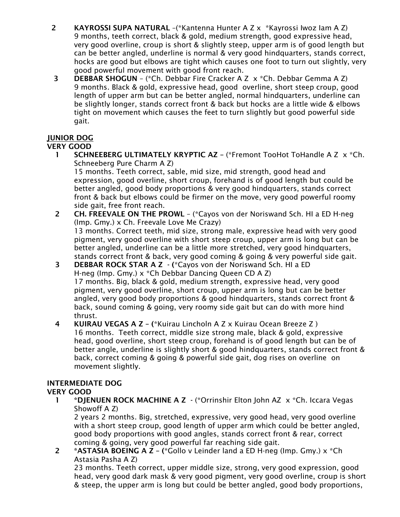- 2 KAYROSSI SUPA NATURAL –(\*Kantenna Hunter A Z x \*Kayrossi Iwoz Iam A Z) 9 months, teeth correct, black & gold, medium strength, good expressive head, very good overline, croup is short & slightly steep, upper arm is of good length but can be better angled, underline is normal & very good hindquarters, stands correct, hocks are good but elbows are tight which causes one foot to turn out slightly, very good powerful movement with good front reach.
- 3 DEBBAR SHOGUN (\*Ch. Debbar Fire Cracker A Z x \*Ch. Debbar Gemma A Z) 9 months. Black & gold, expressive head, good overline, short steep croup, good length of upper arm but can be better angled, normal hindquarters, underline can be slightly longer, stands correct front & back but hocks are a little wide & elbows tight on movement which causes the feet to turn slightly but good powerful side gait.

## JUNIOR DOG

## VERY GOOD

- 1 SCHNEEBERG ULTIMATELY KRYPTIC AZ (\*Fremont TooHot ToHandle A Z x \*Ch. Schneeberg Pure Charm A Z) 15 months. Teeth correct, sable, mid size, mid strength, good head and expression, good overline, short croup, forehand is of good length but could be better angled, good body proportions & very good hindquarters, stands correct front & back but elbows could be firmer on the move, very good powerful roomy
- side gait, free front reach. 2 CH. FREEVALE ON THE PROWL – (\*Cayos von der Noriswand Sch. HI a ED H-neg (Imp. Gmy.) x Ch. Freevale Love Me Crazy) 13 months. Correct teeth, mid size, strong male, expressive head with very good pigment, very good overline with short steep croup, upper arm is long but can be better angled, underline can be a little more stretched, very good hindquarters, stands correct front & back, very good coming & going & very powerful side gait.
- 3 DEBBAR ROCK STAR A Z (\*Cayos von der Noriswand Sch. HI a ED H-neg (Imp. Gmy.) x \*Ch Debbar Dancing Queen CD A Z) 17 months. Big, black & gold, medium strength, expressive head, very good pigment, very good overline, short croup, upper arm is long but can be better angled, very good body proportions & good hindquarters, stands correct front & back, sound coming & going, very roomy side gait but can do with more hind thrust.
- 4 KUIRAU VEGAS A Z (\*Kuirau Lincholn A Z x Kuirau Ocean Breeze Z ) 16 months. Teeth correct, middle size strong male, black & gold, expressive head, good overline, short steep croup, forehand is of good length but can be of better angle, underline is slightly short & good hindquarters, stands correct front & back, correct coming & going & powerful side gait, dog rises on overline on movement slightly.

# INTERMEDIATE DOG

## VERY GOOD

 1 \*DJENUEN ROCK MACHINE A Z - (\*Orrinshir Elton John AZ x \*Ch. Iccara Vegas Showoff A Z)

2 years 2 months. Big, stretched, expressive, very good head, very good overline with a short steep croup, good length of upper arm which could be better angled, good body proportions with good angles, stands correct front & rear, correct coming & going, very good powerful far reaching side gait.

2 \*ASTASIA BOEING A Z – (\*Gollo v Leinder land a ED H-neg (Imp. Gmy.)  $x *Ch$ Astasia Pasha A Z)

23 months. Teeth correct, upper middle size, strong, very good expression, good head, very good dark mask & very good pigment, very good overline, croup is short & steep, the upper arm is long but could be better angled, good body proportions,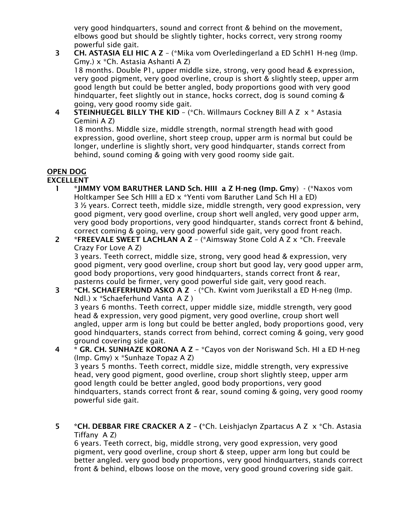very good hindquarters, sound and correct front & behind on the movement, elbows good but should be slightly tighter, hocks correct, very strong roomy powerful side gait.

- 3 CH. ASTASIA ELI HIC A Z (\*Mika vom Overledingerland a ED SchH1 H-neg (Imp. Gmy.) x \*Ch. Astasia Ashanti A Z) 18 months. Double P1, upper middle size, strong, very good head & expression, very good pigment, very good overline, croup is short & slightly steep, upper arm good length but could be better angled, body proportions good with very good hindquarter, feet slightly out in stance, hocks correct, dog is sound coming & going, very good roomy side gait.
- 4 STEINHUEGEL BILLY THE KID (\*Ch. Willmaurs Cockney Bill A Z x \* Astasia Gemini A Z)

18 months. Middle size, middle strength, normal strength head with good expression, good overline, short steep croup, upper arm is normal but could be longer, underline is slightly short, very good hindquarter, stands correct from behind, sound coming & going with very good roomy side gait.

#### OPEN DOG EXCELLENT

- 1 \*JIMMY VOM BARUTHER LAND Sch. HIII a Z H-neg (Imp. Gmy) (\*Naxos vom Holtkamper See Sch HIII a ED x \*Yenti vom Baruther Land Sch HI a ED) 3 ½ years. Correct teeth, middle size, middle strength, very good expression, very good pigment, very good overline, croup short well angled, very good upper arm, very good body proportions, very good hindquarter, stands correct front & behind, correct coming & going, very good powerful side gait, very good front reach.
- 2 \*FREEVALE SWEET LACHLAN A Z (\*Aimsway Stone Cold A Z x \*Ch. Freevale Crazy For Love A Z)

3 years. Teeth correct, middle size, strong, very good head & expression, very good pigment, very good overline, croup short but good lay, very good upper arm, good body proportions, very good hindquarters, stands correct front & rear, pasterns could be firmer, very good powerful side gait, very good reach.

- 3 \*CH. SCHAEFERHUND ASKO A Z (\*Ch. Kwint vom Juerikstall a ED H-neg (Imp. Ndl.) x \*Schaeferhund Vanta A Z ) 3 years 6 months. Teeth correct, upper middle size, middle strength, very good head & expression, very good pigment, very good overline, croup short well angled, upper arm is long but could be better angled, body proportions good, very good hindquarters, stands correct from behind, correct coming & going, very good
- ground covering side gait. 4 \* GR. CH. SUNHAZE KORONA A Z – \*Cayos von der Noriswand Sch. HI a ED H-neg (Imp. Gmy) x \*Sunhaze Topaz A Z) 3 years 5 months. Teeth correct, middle size, middle strength, very expressive head, very good pigment, good overline, croup short slightly steep, upper arm good length could be better angled, good body proportions, very good hindquarters, stands correct front & rear, sound coming & going, very good roomy powerful side gait.
- 5 \*CH. DEBBAR FIRE CRACKER A Z (\*Ch. Leishjaclyn Zpartacus A Z  $\times$  \*Ch. Astasia Tiffany A Z)

6 years. Teeth correct, big, middle strong, very good expression, very good pigment, very good overline, croup short & steep, upper arm long but could be better angled. very good body proportions, very good hindquarters, stands correct front & behind, elbows loose on the move, very good ground covering side gait.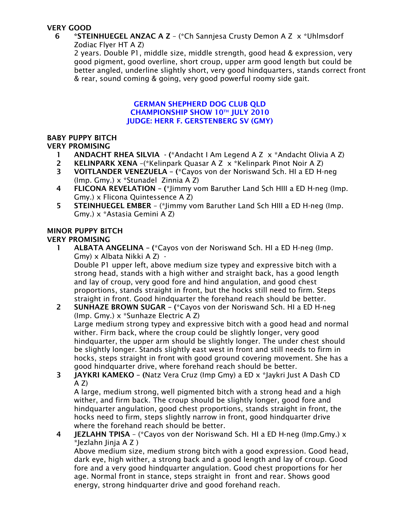## VERY GOOD

#### 6 \*STEINHUEGEL ANZAC A Z – (\*Ch Sannjesa Crusty Demon A Z x \*Uhlmsdorf Zodiac Flyer HT A Z)

2 years. Double P1, middle size, middle strength, good head & expression, very good pigment, good overline, short croup, upper arm good length but could be better angled, underline slightly short, very good hindquarters, stands correct front & rear, sound coming & going, very good powerful roomy side gait.

#### GERMAN SHEPHERD DOG CLUB QLD CHAMPIONSHIP SHOW 10TH JULY 2010 JUDGE: HERR F. GERSTENBERG SV (GMY)

#### BABY PUPPY BITCH VERY PROMISING

- 1 ANDACHT RHEA SILVIA (\*Andacht I Am Legend A Z x \*Andacht Olivia A Z)
- 2 KELINPARK XENA –(\*Kelinpark Quasar A Z x \*Kelinpark Pinot Noir A Z)
- 3 VOITLANDER VENEZUELA (\*Cayos von der Noriswand Sch. HI a ED H-neg (Imp. Gmy.) x \*Stunadel Zinnia A Z)
- 4 FLICONA REVELATION (\*Jimmy vom Baruther Land Sch HIII a ED H-neg (Imp. Gmy.) x Flicona Quintessence A Z)
- 5 STEINHUEGEL EMBER (\*Jimmy vom Baruther Land Sch HIII a ED H-neg (Imp. Gmy.) x \*Astasia Gemini A Z)

#### MINOR PUPPY BITCH VERY PROMISING

- 1 ALBATA ANGELINA (\*Cayos von der Noriswand Sch. HI a ED H-neg (Imp. Gmy) x Albata Nikki A Z) - Double P1 upper left, above medium size typey and expressive bitch with a strong head, stands with a high wither and straight back, has a good length and lay of croup, very good fore and hind angulation, and good chest proportions, stands straight in front, but the hocks still need to firm. Steps straight in front. Good hindquarter the forehand reach should be better.
- 2 SUNHAZE BROWN SUGAR (\*Cayos von der Noriswand Sch. HI a ED H-neg (Imp. Gmy.) x \*Sunhaze Electric A Z) Large medium strong typey and expressive bitch with a good head and normal wither. Firm back, where the croup could be slightly longer, very good hindquarter, the upper arm should be slightly longer. The under chest should be slightly longer. Stands slightly east west in front and still needs to firm in hocks, steps straight in front with good ground covering movement. She has a good hindquarter drive, where forehand reach should be better.
- 3 JAYKRI KAMEKO (Natz Vera Cruz (Imp Gmy) a ED x \*Jaykri Just A Dash CD  $A Z$

A large, medium strong, well pigmented bitch with a strong head and a high wither, and firm back. The croup should be slightly longer, good fore and hindquarter angulation, good chest proportions, stands straight in front, the hocks need to firm, steps slightly narrow in front, good hindquarter drive where the forehand reach should be better.

4 JEZLAHN TPISA – (\*Cayos von der Noriswand Sch. HI a ED H-neg (Imp.Gmy.) x \*Jezlahn Jinja A Z )

Above medium size, medium strong bitch with a good expression. Good head, dark eye, high wither, a strong back and a good length and lay of croup. Good fore and a very good hindquarter angulation. Good chest proportions for her age. Normal front in stance, steps straight in front and rear. Shows good energy, strong hindquarter drive and good forehand reach.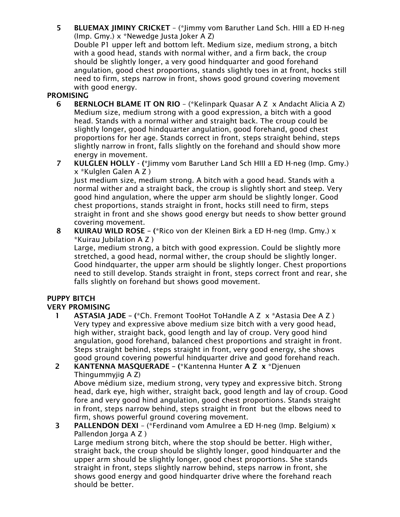5 BLUEMAX JIMINY CRICKET – (\*Jimmy vom Baruther Land Sch. HIII a ED H-neg (Imp. Gmy.) x \*Newedge Justa Joker A Z)

Double P1 upper left and bottom left. Medium size, medium strong, a bitch with a good head, stands with normal wither, and a firm back, the croup should be slightly longer, a very good hindquarter and good forehand angulation, good chest proportions, stands slightly toes in at front, hocks still need to firm, steps narrow in front, shows good ground covering movement with good energy.

## **PROMISING**

- 6 BERNLOCH BLAME IT ON RIO (\*Kelinpark Quasar A Z x Andacht Alicia A Z) Medium size, medium strong with a good expression, a bitch with a good head. Stands with a normal wither and straight back. The croup could be slightly longer, good hindquarter angulation, good forehand, good chest proportions for her age. Stands correct in front, steps straight behind, steps slightly narrow in front, falls slightly on the forehand and should show more energy in movement.
- 7 KULGLEN HOLLY (\*Jimmy vom Baruther Land Sch HIII a ED H-neg (Imp. Gmy.) x \*Kulglen Galen A Z )

Just medium size, medium strong. A bitch with a good head. Stands with a normal wither and a straight back, the croup is slightly short and steep. Very good hind angulation, where the upper arm should be slightly longer. Good chest proportions, stands straight in front, hocks still need to firm, steps straight in front and she shows good energy but needs to show better ground covering movement.

8 KUIRAU WILD ROSE – (\*Rico von der Kleinen Birk a ED H-neg (Imp. Gmy.) x \*Kuirau Jubilation A Z )

Large, medium strong, a bitch with good expression. Could be slightly more stretched, a good head, normal wither, the croup should be slightly longer. Good hindquarter, the upper arm should be slightly longer. Chest proportions need to still develop. Stands straight in front, steps correct front and rear, she falls slightly on forehand but shows good movement.

## PUPPY BITCH

## VERY PROMISING

 1 ASTASIA JADE – (\*Ch. Fremont TooHot ToHandle A Z x \*Astasia Dee A Z ) Very typey and expressive above medium size bitch with a very good head, high wither, straight back, good length and lay of croup. Very good hind angulation, good forehand, balanced chest proportions and straight in front. Steps straight behind, steps straight in front, very good energy, she shows good ground covering powerful hindquarter drive and good forehand reach.

# 2 KANTENNA MASQUERADE – (\*Kantenna Hunter A Z x \*Djenuen Thingummyjig A Z)

Above médium size, medium strong, very typey and expressive bitch. Strong head, dark eye, high wither, straight back, good length and lay of croup. Good fore and very good hind angulation, good chest proportions. Stands straight in front, steps narrow behind, steps straight in front but the elbows need to firm, shows powerful ground covering movement.

**3** PALLENDON DEXI – (\*Ferdinand vom Amulree a ED H-neg (Imp. Belgium)  $\times$ Pallendon Jorga A Z )

Large medium strong bitch, where the stop should be better. High wither, straight back, the croup should be slightly longer, good hindquarter and the upper arm should be slightly longer, good chest proportions. She stands straight in front, steps slightly narrow behind, steps narrow in front, she shows good energy and good hindquarter drive where the forehand reach should be better.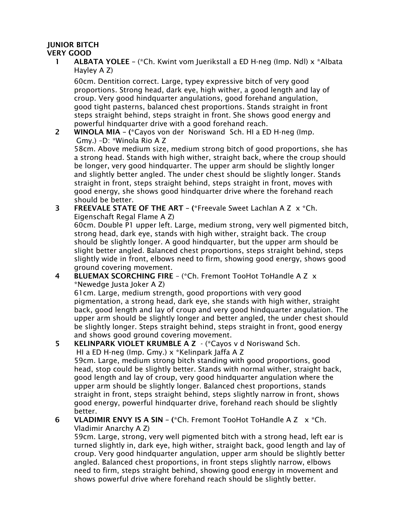## JUNIOR BITCH

## VERY GOOD

1 **ALBATA YOLEE** – (\*Ch. Kwint vom Juerikstall a ED H-neg (Imp. Ndl) x \*Albata Hayley A Z)

60cm. Dentition correct. Large, typey expressive bitch of very good proportions. Strong head, dark eye, high wither, a good length and lay of croup. Very good hindquarter angulations, good forehand angulation, good tight pasterns, balanced chest proportions. Stands straight in front steps straight behind, steps straight in front. She shows good energy and powerful hindquarter drive with a good forehand reach.

 2 WINOLA MIA – (\*Cayos von der Noriswand Sch. HI a ED H-neg (Imp. Gmy.) –D: \*Winola Rio A Z

58cm. Above medium size, medium strong bitch of good proportions, she has a strong head. Stands with high wither, straight back, where the croup should be longer, very good hindquarter. The upper arm should be slightly longer and slightly better angled. The under chest should be slightly longer. Stands straight in front, steps straight behind, steps straight in front, moves with good energy, she shows good hindquarter drive where the forehand reach should be better.

 3 FREEVALE STATE OF THE ART – (\*Freevale Sweet Lachlan A Z x \*Ch. Eigenschaft Regal Flame A Z)

60cm. Double P1 upper left. Large, medium strong, very well pigmented bitch, strong head, dark eye, stands with high wither, straight back. The croup should be slightly longer. A good hindquarter, but the upper arm should be slight better angled. Balanced chest proportions, steps straight behind, steps slightly wide in front, elbows need to firm, showing good energy, shows good ground covering movement.

 4 BLUEMAX SCORCHING FIRE – (\*Ch. Fremont TooHot ToHandle A Z x \*Newedge Justa Joker A Z)

61cm. Large, medium strength, good proportions with very good pigmentation, a strong head, dark eye, she stands with high wither, straight back, good length and lay of croup and very good hindquarter angulation. The upper arm should be slightly longer and better angled, the under chest should be slightly longer. Steps straight behind, steps straight in front, good energy and shows good ground covering movement.

# 5 KELINPARK VIOLET KRUMBLE A Z - (\*Cayos v d Noriswand Sch.

 HI a ED H-neg (Imp. Gmy.) x \*Kelinpark Jaffa A Z 59cm. Large, medium strong bitch standing with good proportions, good head, stop could be slightly better. Stands with normal wither, straight back, good length and lay of croup, very good hindquarter angulation where the upper arm should be slightly longer. Balanced chest proportions, stands straight in front, steps straight behind, steps slightly narrow in front, shows good energy, powerful hindquarter drive, forehand reach should be slightly better.

 6 VLADIMIR ENVY IS A SIN – (\*Ch. Fremont TooHot ToHandle A Z x \*Ch. Vladimir Anarchy A Z)

59cm. Large, strong, very well pigmented bitch with a strong head, left ear is turned slightly in, dark eye, high wither, straight back, good length and lay of croup. Very good hindquarter angulation, upper arm should be slightly better angled. Balanced chest proportions, in front steps slightly narrow, elbows need to firm, steps straight behind, showing good energy in movement and shows powerful drive where forehand reach should be slightly better.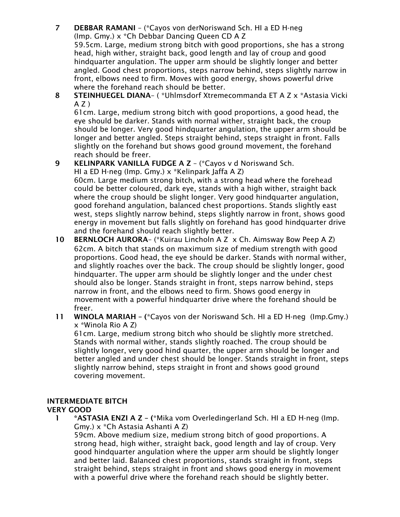7 DEBBAR RAMANI – (\*Cayos von derNoriswand Sch. HI a ED H-neg (Imp. Gmy.) x \*Ch Debbar Dancing Queen CD A Z

59.5cm. Large, medium strong bitch with good proportions, she has a strong head, high wither, straight back, good length and lay of croup and good hindquarter angulation. The upper arm should be slightly longer and better angled. Good chest proportions, steps narrow behind, steps slightly narrow in front, elbows need to firm. Moves with good energy, shows powerful drive where the forehand reach should be better.

8 STEINHUEGEL DIANA- ( \* Uhlmsdorf Xtremecommanda ET A Z x \* Astasia Vicki  $A Z$ )

61cm. Large, medium strong bitch with good proportions, a good head, the eye should be darker. Stands with normal wither, straight back, the croup should be longer. Very good hindquarter angulation, the upper arm should be longer and better angled. Steps straight behind, steps straight in front. Falls slightly on the forehand but shows good ground movement, the forehand reach should be freer.

## 9 KELINPARK VANILLA FUDGE A Z – (\*Cayos v d Noriswand Sch.

HI a ED H-neg (Imp. Gmy.) x \*Kelinpark Jaffa A Z) 60cm. Large medium strong bitch, with a strong head where the forehead could be better coloured, dark eye, stands with a high wither, straight back where the croup should be slight longer. Very good hindquarter angulation, good forehand angulation, balanced chest proportions. Stands slightly east west, steps slightly narrow behind, steps slightly narrow in front, shows good energy in movement but falls slightly on forehand has good hindquarter drive and the forehand should reach slightly better.

- 10 BERNLOCH AURORA– (\*Kuirau Lincholn A Z x Ch. Aimsway Bow Peep A Z) 62cm. A bitch that stands on maximum size of medium strength with good proportions. Good head, the eye should be darker. Stands with normal wither, and slightly roaches over the back. The croup should be slightly longer, good hindquarter. The upper arm should be slightly longer and the under chest should also be longer. Stands straight in front, steps narrow behind, steps narrow in front, and the elbows need to firm. Shows good energy in movement with a powerful hindquarter drive where the forehand should be freer.
- 11 WINOLA MARIAH (\*Cayos von der Noriswand Sch. HI a ED H-neg (Imp.Gmy.) x \*Winola Rio A Z)

61cm. Large, medium strong bitch who should be slightly more stretched. Stands with normal wither, stands slightly roached. The croup should be slightly longer, very good hind quarter, the upper arm should be longer and better angled and under chest should be longer. Stands straight in front, steps slightly narrow behind, steps straight in front and shows good ground covering movement.

#### INTERMEDIATE BITCH VERY GOOD

 1 \*ASTASIA ENZI A Z – (\*Mika vom Overledingerland Sch. HI a ED H-neg (Imp. Gmy.) x \*Ch Astasia Ashanti A Z)

59cm. Above medium size, medium strong bitch of good proportions. A strong head, high wither, straight back, good length and lay of croup. Very good hindquarter angulation where the upper arm should be slightly longer and better laid. Balanced chest proportions, stands straight in front, steps straight behind, steps straight in front and shows good energy in movement with a powerful drive where the forehand reach should be slightly better.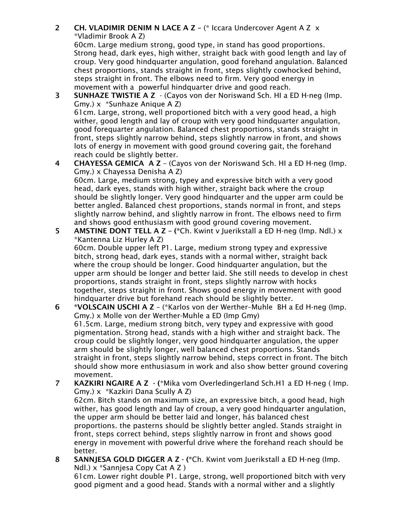2 CH. VLADIMIR DENIM N LACE A Z – (\* Iccara Undercover Agent A Z x \*Vladimir Brook A Z)

60cm. Large medium strong, good type, in stand has good proportions. Strong head, dark eyes, high wither, straight back with good length and lay of croup. Very good hindquarter angulation, good forehand angulation. Balanced chest proportions, stands straight in front, steps slightly cowhocked behind, steps straight in front. The elbows need to firm. Very good energy in movement with a powerful hindquarter drive and good reach.

- 3 SUNHAZE TWISTIE A Z (Cayos von der Noriswand Sch. HI a ED H-neg (Imp. Gmy.) x \*Sunhaze Anique A Z) 61cm. Large, strong, well proportioned bitch with a very good head, a high wither, good length and lay of croup with very good hindquarter angulation, good forequarter angulation. Balanced chest proportions, stands straight in front, steps slightly narrow behind, steps slightly narrow in front, and shows lots of energy in movement with good ground covering gait, the forehand reach could be slightly better.
- 4 CHAYESSA GEMICA A Z (Cayos von der Noriswand Sch. HI a ED H-neg (Imp. Gmy.) x Chayessa Denisha A Z)

60cm. Large, medium strong, typey and expressive bitch with a very good head, dark eyes, stands with high wither, straight back where the croup should be slightly longer. Very good hindquarter and the upper arm could be better angled. Balanced chest proportions, stands normal in front, and steps slightly narrow behind, and slightly narrow in front. The elbows need to firm and shows good enthusiasm with good ground covering movement.

5 AMSTINE DONT TELL A Z - (\*Ch. Kwint v Juerikstall a ED H-neg (Imp. Ndl.)  $x$ \*Kantenna Liz Hurley A Z)

60cm. Double upper left P1. Large, medium strong typey and expressive bitch, strong head, dark eyes, stands with a normal wither, straight back where the croup should be longer. Good hindquarter angulation, but the upper arm should be longer and better laid. She still needs to develop in chest proportions, stands straight in front, steps slightly narrow with hocks together, steps straight in front. Shows good energy in movement with good hindquarter drive but forehand reach should be slightly better.

- 6 \*VOLSCAIN USCHI A Z (\*Karlos von der Werther–Muhle BH a Ed H-neg (Imp. Gmy.) x Molle von der Werther-Muhle a ED (Imp Gmy) 61.5cm. Large, medium strong bitch, very typey and expressive with good pigmentation. Strong head, stands with a high wither and straight back. The croup could be slightly longer, very good hindquarter angulation, the upper arm should be slightly longer, well balanced chest proportions. Stands straight in front, steps slightly narrow behind, steps correct in front. The bitch should show more enthusiasum in work and also show better ground covering movement.
- 7 KAZKIRI NGAIRE A Z (\*Mika vom Overledingerland Sch.H1 a ED H-neg ( Imp. Gmy.) x \*Kazkiri Dana Scully A Z) 62cm. Bitch stands on maximum size, an expressive bitch, a good head, high wither, has good length and lay of croup, a very good hindquarter angulation, the upper arm should be better laid and longer, hás balanced chest proportions. the pasterns should be slightly better angled. Stands straight in front, steps correct behind, steps slightly narrow in front and shows good energy in movement with powerful drive where the forehand reach should be better.
- 8 SANNJESA GOLD DIGGER A Z (\*Ch. Kwint vom Juerikstall a ED H-neg (Imp. Ndl.) x \*Sannjesa Copy Cat A Z )

61cm. Lower right double P1. Large, strong, well proportioned bitch with very good pigment and a good head. Stands with a normal wither and a slightly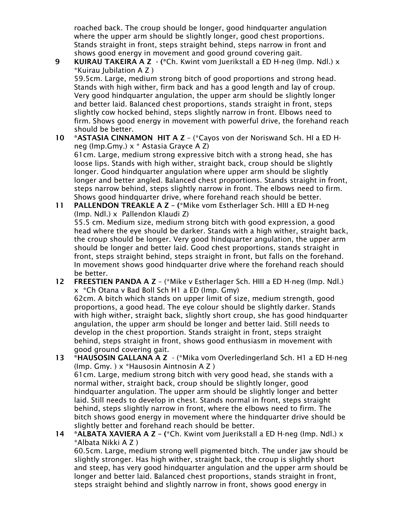roached back. The croup should be longer, good hindquarter angulation where the upper arm should be slightly longer, good chest proportions. Stands straight in front, steps straight behind, steps narrow in front and shows good energy in movement and good ground covering gait.

- 9 KUIRAU TAKEIRA A Z (\*Ch. Kwint vom Juerikstall a ED H-neg (Imp. Ndl.) x \*Kuirau Jubilation A Z ) 59.5cm. Large, medium strong bitch of good proportions and strong head. Stands with high wither, firm back and has a good length and lay of croup. Very good hindquarter angulation, the upper arm should be slightly longer and better laid. Balanced chest proportions, stands straight in front, steps slightly cow hocked behind, steps slightly narrow in front. Elbows need to firm. Shows good energy in movement with powerful drive, the forehand reach should be better.
- 10 \*ASTASIA CINNAMON HIT A Z (\*Cayos von der Noriswand Sch. HI a ED Hneg (Imp.Gmy.) x \* Astasia Grayce A Z) 61cm. Large, medium strong expressive bitch with a strong head, she has loose lips. Stands with high wither, straight back, croup should be slightly longer. Good hindquarter angulation where upper arm should be slightly longer and better angled. Balanced chest proportions. Stands straight in front, steps narrow behind, steps slightly narrow in front. The elbows need to firm. Shows good hindquarter drive, where forehand reach should be better.
- 11 PALLENDON TREAKLE A Z (\*Mike vom Estherlager Sch. HIII a ED H-neg (Imp. Ndl.) x Pallendon Klaudi Z) 55.5 cm. Medium size, medium strong bitch with good expression, a good head where the eye should be darker. Stands with a high wither, straight back, the croup should be longer. Very good hindquarter angulation, the upper arm should be longer and better laid. Good chest proportions, stands straight in front, steps straight behind, steps straight in front, but falls on the forehand. In movement shows good hindquarter drive where the forehand reach should be better.
- 12 FREESTIEN PANDA A Z (\*Mike v Estherlager Sch. HIII a ED H-neg (Imp. Ndl.) x \*Ch Otana v Bad Boll Sch H1 a ED (Imp. Gmy)

62cm. A bitch which stands on upper limit of size, medium strength, good proportions, a good head. The eye colour should be slightly darker. Stands with high wither, straight back, slightly short croup, she has good hindquarter angulation, the upper arm should be longer and better laid. Still needs to develop in the chest proportion. Stands straight in front, steps straight behind, steps straight in front, shows good enthusiasm in movement with good ground covering gait.

- 13 \*HAUSOSIN GALLANA A Z (\*Mika vom Overledingerland Sch. H1 a ED H-neg (Imp. Gmy. ) x \*Hausosin Aintnosin A Z ) 61cm. Large, medium strong bitch with very good head, she stands with a normal wither, straight back, croup should be slightly longer, good hindquarter angulation. The upper arm should be slightly longer and better laid. Still needs to develop in chest. Stands normal in front, steps straight behind, steps slightly narrow in front, where the elbows need to firm. The bitch shows good energy in movement where the hindquarter drive should be slightly better and forehand reach should be better.
- 14 \*ALBATA XAVIERA A Z (\*Ch. Kwint vom Juerikstall a ED H-neg (Imp. Ndl.)  $\times$ \*Albata Nikki A Z )

60.5cm. Large, medium strong well pigmented bitch. The under jaw should be slightly stronger. Has high wither, straight back, the croup is slightly short and steep, has very good hindquarter angulation and the upper arm should be longer and better laid. Balanced chest proportions, stands straight in front, steps straight behind and slightly narrow in front, shows good energy in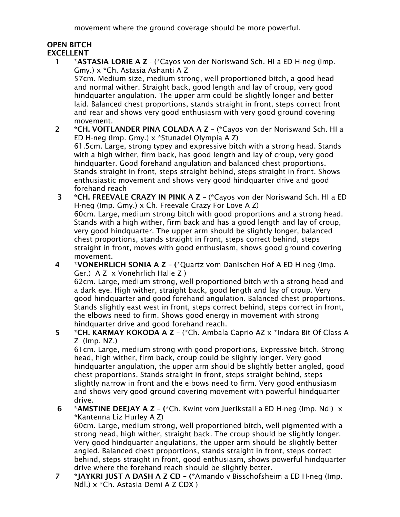movement where the ground coverage should be more powerful.

# OPEN BITCH

## EXCELLENT

 1 \*ASTASIA LORIE A Z - (\*Cayos von der Noriswand Sch. HI a ED H-neg (Imp. Gmy.) x \*Ch. Astasia Ashanti A Z

57cm. Medium size, medium strong, well proportioned bitch, a good head and normal wither. Straight back, good length and lay of croup, very good hindquarter angulation. The upper arm could be slightly longer and better laid. Balanced chest proportions, stands straight in front, steps correct front and rear and shows very good enthusiasm with very good ground covering movement.

- 2 \*CH. VOITLANDER PINA COLADA A Z (\*Cayos von der Noriswand Sch. HI a ED H-neg (Imp. Gmy.) x \*Stunadel Olympia A Z) 61.5cm. Large, strong typey and expressive bitch with a strong head. Stands with a high wither, firm back, has good length and lay of croup, very good hindquarter. Good forehand angulation and balanced chest proportions. Stands straight in front, steps straight behind, steps straight in front. Shows enthusiastic movement and shows very good hindquarter drive and good forehand reach
- 3 \*CH. FREEVALE CRAZY IN PINK A Z (\*Cayos von der Noriswand Sch. HI a ED H-neg (Imp. Gmy.) x Ch. Freevale Crazy For Love A Z) 60cm. Large, medium strong bitch with good proportions and a strong head. Stands with a high wither, firm back and has a good length and lay of croup, very good hindquarter. The upper arm should be slightly longer, balanced chest proportions, stands straight in front, steps correct behind, steps straight in front, moves with good enthusiasm, shows good ground covering movement.
- 4 \*VONEHRLICH SONIA A Z (\*Quartz vom Danischen Hof A ED H-neg (Imp. Ger.) A Z x Vonehrlich Halle Z )

62cm. Large, medium strong, well proportioned bitch with a strong head and a dark eye. High wither, straight back, good length and lay of croup. Very good hindquarter and good forehand angulation. Balanced chest proportions. Stands slightly east west in front, steps correct behind, steps correct in front, the elbows need to firm. Shows good energy in movement with strong hindquarter drive and good forehand reach.

 5 \*CH. KARMAY KOKODA A Z – (\*Ch. Ambala Caprio AZ x \*Indara Bit Of Class A Z (Imp. NZ.)

61cm. Large, medium strong with good proportions, Expressive bitch. Strong head, high wither, firm back, croup could be slightly longer. Very good hindquarter angulation, the upper arm should be slightly better angled, good chest proportions. Stands straight in front, steps straight behind, steps slightly narrow in front and the elbows need to firm. Very good enthusiasm and shows very good ground covering movement with powerful hindquarter drive.

- 6 \*AMSTINE DEEJAY A Z (\*Ch. Kwint vom Juerikstall a ED H-neg (Imp. Ndl)  $\times$ \*Kantenna Liz Hurley A Z) 60cm. Large, medium strong, well proportioned bitch, well pigmented with a strong head, high wither, straight back. The croup should be slightly longer. Very good hindquarter angulations, the upper arm should be slightly better angled. Balanced chest proportions, stands straight in front, steps correct behind, steps straight in front, good enthusiasm, shows powerful hindquarter drive where the forehand reach should be slightly better.
- 7 \*JAYKRI JUST A DASH A Z CD (\*Amando v Bisschofsheim a ED H-neg (Imp. Ndl.) x \*Ch. Astasia Demi A Z CDX )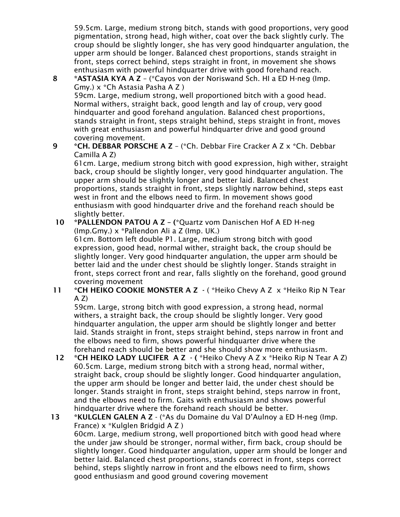59.5cm. Large, medium strong bitch, stands with good proportions, very good pigmentation, strong head, high wither, coat over the back slightly curly. The croup should be slightly longer, she has very good hindquarter angulation, the upper arm should be longer. Balanced chest proportions, stands straight in front, steps correct behind, steps straight in front, in movement she shows enthusiasm with powerful hindquarter drive with good forehand reach.

### 8 \*ASTASIA KYA A Z – (\*Cayos von der Noriswand Sch. HI a ED H-neg (Imp. Gmy.) x \*Ch Astasia Pasha A Z )

59cm. Large, medium strong, well proportioned bitch with a good head. Normal withers, straight back, good length and lay of croup, very good hindquarter and good forehand angulation. Balanced chest proportions, stands straight in front, steps straight behind, steps straight in front, moves with great enthusiasm and powerful hindquarter drive and good ground covering movement.

## 9 \*CH. DEBBAR PORSCHE A Z – (\*Ch. Debbar Fire Cracker A Z x \*Ch. Debbar Camilla A Z)

61cm. Large, medium strong bitch with good expression, high wither, straight back, croup should be slightly longer, very good hindquarter angulation. The upper arm should be slightly longer and better laid. Balanced chest proportions, stands straight in front, steps slightly narrow behind, steps east west in front and the elbows need to firm. In movement shows good enthusiasm with good hindquarter drive and the forehand reach should be slightly better.

#### 10 \*PALLENDON PATOU A Z – (\*Quartz vom Danischen Hof A ED H-neg (Imp.Gmy.) x \*Pallendon Ali a Z (Imp. UK.) 61cm. Bottom left double P1. Large, medium strong bitch with good expression, good head, normal wither, straight back, the croup should be slightly longer. Very good hindquarter angulation, the upper arm should be better laid and the under chest should be slightly longer. Stands straight in front, steps correct front and rear, falls slightly on the forehand, good ground covering movement

## 11 \*CH HEIKO COOKIE MONSTER A Z  $\cdot$  (\*Heiko Chevy A Z x \*Heiko Rip N Tear  $A Z$

59cm. Large, strong bitch with good expression, a strong head, normal withers, a straight back, the croup should be slightly longer. Very good hindquarter angulation, the upper arm should be slightly longer and better laid. Stands straight in front, steps straight behind, steps narrow in front and the elbows need to firm, shows powerful hindquarter drive where the forehand reach should be better and she should show more enthusiasm.

 12 \*CH HEIKO LADY LUCIFER A Z - ( \*Heiko Chevy A Z x \*Heiko Rip N Tear A Z) 60.5cm. Large, medium strong bitch with a strong head, normal wither, straight back, croup should be slightly longer. Good hindquarter angulation, the upper arm should be longer and better laid, the under chest should be longer. Stands straight in front, steps straight behind, steps narrow in front, and the elbows need to firm. Gaits with enthusiasm and shows powerful hindquarter drive where the forehand reach should be better.

#### 13 \*KULGLEN GALEN A Z - (\*As du Domaine du Val D'Aulnoy a ED H-neg (Imp. France) x \*Kulglen Bridgid A Z ) 60cm. Large, medium strong, well proportioned bitch with good head where the under jaw should be stronger, normal wither, firm back, croup should be slightly longer. Good hindquarter angulation, upper arm should be longer and better laid. Balanced chest proportions, stands correct in front, steps correct behind, steps slightly narrow in front and the elbows need to firm, shows good enthusiasm and good ground covering movement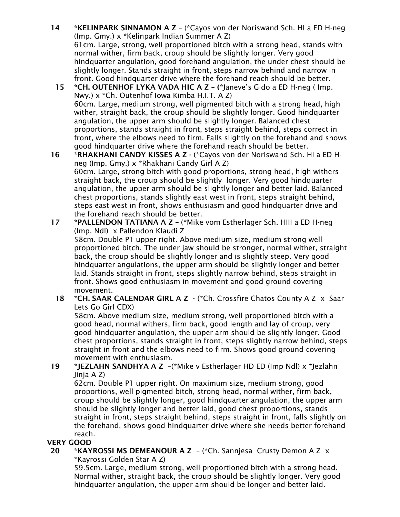- 14 \*KELINPARK SINNAMON A Z (\*Cayos von der Noriswand Sch. HI a ED H-neg (Imp. Gmy.) x \*Kelinpark Indian Summer A Z) 61cm. Large, strong, well proportioned bitch with a strong head, stands with normal wither, firm back, croup should be slightly longer. Very good hindquarter angulation, good forehand angulation, the under chest should be slightly longer. Stands straight in front, steps narrow behind and narrow in front. Good hindquarter drive where the forehand reach should be better.
	- 15 \*CH. OUTENHOF LYKA VADA HIC A Z (\*Janeve's Gido a ED H-neg ( Imp. Nwy.) x \*Ch. Outenhof Iowa Kimba H.I.T. A Z) 60cm. Large, medium strong, well pigmented bitch with a strong head, high wither, straight back, the croup should be slightly longer. Good hindquarter angulation, the upper arm should be slightly longer. Balanced chest proportions, stands straight in front, steps straight behind, steps correct in front, where the elbows need to firm. Falls slightly on the forehand and shows good hindquarter drive where the forehand reach should be better.
- 16 \*RHAKHANI CANDY KISSES A Z (\*Cayos von der Noriswand Sch. HI a ED Hneg (Imp. Gmy.) x \*Rhakhani Candy Girl A Z) 60cm. Large, strong bitch with good proportions, strong head, high withers straight back, the croup should be slightly longer. Very good hindquarter angulation, the upper arm should be slightly longer and better laid. Balanced chest proportions, stands slightly east west in front, steps straight behind, steps east west in front, shows enthusiasm and good hindquarter drive and the forehand reach should be better.
- 17 \*PALLENDON TATIANA A Z (\*Mike vom Estherlager Sch. HIII a ED H-neg (Imp. Ndl) x Pallendon Klaudi Z 58cm. Double P1 upper right. Above medium size, medium strong well proportioned bitch. The under jaw should be stronger, normal wither, straight back, the croup should be slightly longer and is slightly steep. Very good hindquarter angulations, the upper arm should be slightly longer and better laid. Stands straight in front, steps slightly narrow behind, steps straight in front. Shows good enthusiasm in movement and good ground covering movement.
	- 18 \*CH. SAAR CALENDAR GIRL A Z (\*Ch. Crossfire Chatos County A Z x Saar Lets Go Girl CDX)

58cm. Above medium size, medium strong, well proportioned bitch with a good head, normal withers, firm back, good length and lay of croup, very good hindquarter angulation, the upper arm should be slightly longer. Good chest proportions, stands straight in front, steps slightly narrow behind, steps straight in front and the elbows need to firm. Shows good ground covering movement with enthusiasm.

## 19 \*JEZLAHN SANDHYA A Z –(\*Mike v Estherlager HD ED (Imp Ndl) x \*Jezlahn Jinja A Z)

62cm. Double P1 upper right. On maximum size, medium strong, good proportions, well pigmented bitch, strong head, normal wither, firm back, croup should be slightly longer, good hindquarter angulation, the upper arm should be slightly longer and better laid, good chest proportions, stands straight in front, steps straight behind, steps straight in front, falls slightly on the forehand, shows good hindquarter drive where she needs better forehand reach.

## VERY GOOD

20 \*KAYROSSI MS DEMEANOUR A Z – (\*Ch. Sannjesa Crusty Demon A Z x \*Kayrossi Golden Star A Z)

59.5cm. Large, medium strong, well proportioned bitch with a strong head. Normal wither, straight back, the croup should be slightly longer. Very good hindquarter angulation, the upper arm should be longer and better laid.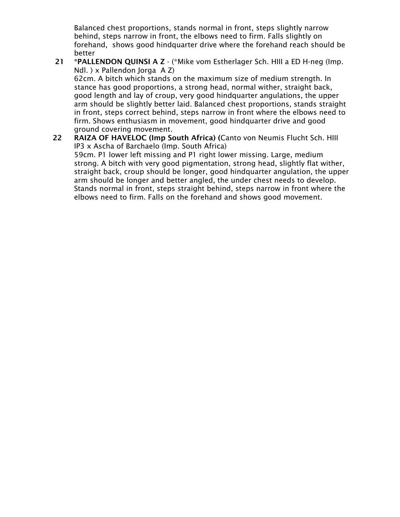Balanced chest proportions, stands normal in front, steps slightly narrow behind, steps narrow in front, the elbows need to firm. Falls slightly on forehand, shows good hindquarter drive where the forehand reach should be better

 21 \*PALLENDON QUINSI A Z - (\*Mike vom Estherlager Sch. HIII a ED H-neg (Imp. Ndl. ) x Pallendon Jorga A Z)

62cm. A bitch which stands on the maximum size of medium strength. In stance has good proportions, a strong head, normal wither, straight back, good length and lay of croup, very good hindquarter angulations, the upper arm should be slightly better laid. Balanced chest proportions, stands straight in front, steps correct behind, steps narrow in front where the elbows need to firm. Shows enthusiasm in movement, good hindquarter drive and good ground covering movement.

22 RAIZA OF HAVELOC (Imp South Africa) (Canto von Neumis Flucht Sch. HIII IP3 x Ascha of Barchaelo (Imp. South Africa) 59cm. P1 lower left missing and P1 right lower missing. Large, medium strong. A bitch with very good pigmentation, strong head, slightly flat wither, straight back, croup should be longer, good hindquarter angulation, the upper arm should be longer and better angled, the under chest needs to develop. Stands normal in front, steps straight behind, steps narrow in front where the elbows need to firm. Falls on the forehand and shows good movement.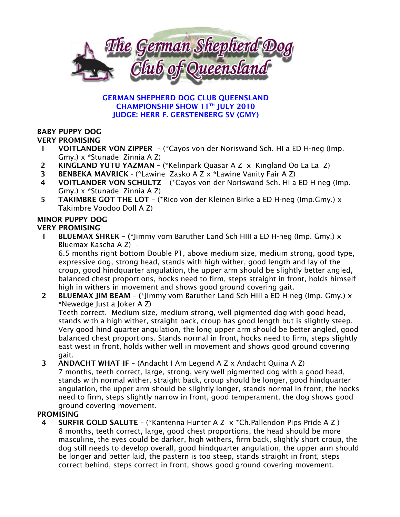

#### GERMAN SHEPHERD DOG CLUB QUEENSLAND CHAMPIONSHIP SHOW 11TH JULY 2010 JUDGE: HERR F. GERSTENBERG SV (GMY)

## BABY PUPPY DOG

#### VERY PROMISING

- 1 VOITLANDER VON ZIPPER (\*Cayos von der Noriswand Sch. HI a ED H-neg (Imp. Gmy.) x \*Stunadel Zinnia A Z)
- 2 KINGLAND YUTU YAZMAN (\*Kelinpark Quasar A Z x Kingland Oo La La Z)
- 3 BENBEKA MAVRICK (\*Lawine Zasko A Z x \*Lawine Vanity Fair A Z)
- 4 VOITLANDER VON SCHULTZ (\*Cayos von der Noriswand Sch. HI a ED H-neg (Imp. Gmy.) x \*Stunadel Zinnia A Z)
- 5 TAKIMBRE GOT THE LOT (\*Rico von der Kleinen Birke a ED H-neg (Imp.Gmy.) x Takimbre Voodoo Doll A Z)

# MINOR PUPPY DOG

## VERY PROMISING

1 BLUEMAX SHREK – (\*Jimmy vom Baruther Land Sch HIII a ED H-neg (Imp. Gmy.)  $\times$ Bluemax Kascha A Z) -

6.5 months right bottom Double P1, above medium size, medium strong, good type, expressive dog, strong head, stands with high wither, good length and lay of the croup, good hindquarter angulation, the upper arm should be slightly better angled, balanced chest proportions, hocks need to firm, steps straight in front, holds himself high in withers in movement and shows good ground covering gait.

2 BLUEMAX JIM BEAM – (\*Jimmy vom Baruther Land Sch HIII a ED H-neg (Imp. Gmy.)  $\times$ \*Newedge Just a Joker A Z)

Teeth correct. Medium size, medium strong, well pigmented dog with good head, stands with a high wither, straight back, croup has good length but is slightly steep. Very good hind quarter angulation, the long upper arm should be better angled, good balanced chest proportions. Stands normal in front, hocks need to firm, steps slightly east west in front, holds wither well in movement and shows good ground covering gait.

 3 ANDACHT WHAT IF – (Andacht I Am Legend A Z x Andacht Quina A Z) 7 months, teeth correct, large, strong, very well pigmented dog with a good head, stands with normal wither, straight back, croup should be longer, good hindquarter angulation, the upper arm should be slightly longer, stands normal in front, the hocks need to firm, steps slightly narrow in front, good temperament, the dog shows good ground covering movement.

## **PROMISING**

 4 SURFIR GOLD SALUTE – (\*Kantenna Hunter A Z x \*Ch.Pallendon Pips Pride A Z ) 8 months, teeth correct, large, good chest proportions, the head should be more masculine, the eyes could be darker, high withers, firm back, slightly short croup, the dog still needs to develop overall, good hindquarter angulation, the upper arm should be longer and better laid, the pastern is too steep, stands straight in front, steps correct behind, steps correct in front, shows good ground covering movement.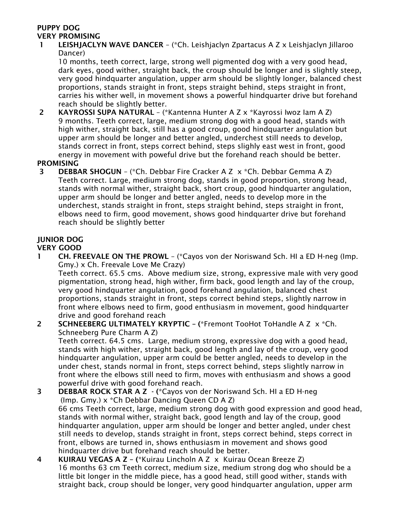## PUPPY DOG VERY PROMISING

 1 LEISHJACLYN WAVE DANCER – (\*Ch. Leishjaclyn Zpartacus A Z x Leishjaclyn Jillaroo Dancer)

10 months, teeth correct, large, strong well pigmented dog with a very good head, dark eyes, good wither, straight back, the croup should be longer and is slightly steep, very good hindquarter angulation, upper arm should be slightly longer, balanced chest proportions, stands straight in front, steps straight behind, steps straight in front, carries his wither well, in movement shows a powerful hindquarter drive but forehand reach should be slightly better.

 2 KAYROSSI SUPA NATURAL – (\*Kantenna Hunter A Z x \*Kayrossi Iwoz Iam A Z) 9 months. Teeth correct, large, medium strong dog with a good head, stands with high wither, straight back, still has a good croup, good hindquarter angulation but upper arm should be longer and better angled, underchest still needs to develop, stands correct in front, steps correct behind, steps slighly east west in front, good energy in movement with poweful drive but the forehand reach should be better.

## PROMISING

 3 DEBBAR SHOGUN – (\*Ch. Debbar Fire Cracker A Z x \*Ch. Debbar Gemma A Z) Teeth correct. Large, medium strong dog, stands in good proportion, strong head, stands with normal wither, straight back, short croup, good hindquarter angulation, upper arm should be longer and better angled, needs to develop more in the underchest, stands straight in front, steps straight behind, steps straight in front, elbows need to firm, good movement, shows good hindquarter drive but forehand reach should be slightly better

## JUNIOR DOG

## VERY GOOD

 1 CH. FREEVALE ON THE PROWL – (\*Cayos von der Noriswand Sch. HI a ED H-neg (Imp. Gmy.) x Ch. Freevale Love Me Crazy)

Teeth correct. 65.5 cms. Above medium size, strong, expressive male with very good pigmentation, strong head, high wither, firm back, good length and lay of the croup, very good hindquarter angulation, good forehand angulation, balanced chest proportions, stands straight in front, steps correct behind steps, slightly narrow in front where elbows need to firm, good enthusiasm in movement, good hindquarter drive and good forehand reach

2 SCHNEEBERG ULTIMATELY KRYPTIC - (\*Fremont TooHot ToHandle A Z x \*Ch. Schneeberg Pure Charm A Z)

Teeth correct. 64.5 cms. Large, medium strong, expressive dog with a good head, stands with high wither, straight back, good length and lay of the croup, very good hindquarter angulation, upper arm could be better angled, needs to develop in the under chest, stands normal in front, steps correct behind, steps slightly narrow in front where the elbows still need to firm, moves with enthusiasm and shows a good powerful drive with good forehand reach.

- 3 DEBBAR ROCK STAR A Z (\*Cayos von der Noriswand Sch. HI a ED H-neg (Imp. Gmy.) x \*Ch Debbar Dancing Queen CD A Z) 66 cms Teeth correct, large, medium strong dog with good expression and good head, stands with normal wither, straight back, good length and lay of the croup, good hindquarter angulation, upper arm should be longer and better angled, under chest still needs to develop, stands straight in front, steps correct behind, steps correct in front, elbows are turned in, shows enthusiasm in movement and shows good hindquarter drive but forehand reach should be better.
- 4 KUIRAU VEGAS A Z (\*Kuirau Lincholn A Z x Kuirau Ocean Breeze Z) 16 months 63 cm Teeth correct, medium size, medium strong dog who should be a little bit longer in the middle piece, has a good head, still good wither, stands with straight back, croup should be longer, very good hindquarter angulation, upper arm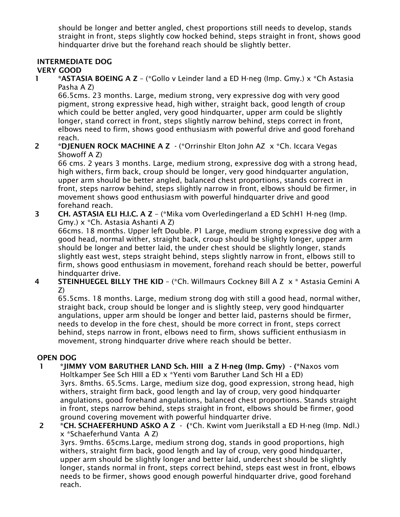should be longer and better angled, chest proportions still needs to develop, stands straight in front, steps slightly cow hocked behind, steps straight in front, shows good hindquarter drive but the forehand reach should be slightly better.

## INTERMEDIATE DOG

## VERY GOOD

1 \*ASTASIA BOEING A  $Z -$  (\*Gollo v Leinder land a ED H-neg (Imp. Gmy.)  $x *$ Ch Astasia Pasha A Z)

66.5cms. 23 months. Large, medium strong, very expressive dog with very good pigment, strong expressive head, high wither, straight back, good length of croup which could be better angled, very good hindquarter, upper arm could be slightly longer, stand correct in front, steps slightly narrow behind, steps correct in front, elbows need to firm, shows good enthusiasm with powerful drive and good forehand reach.

2 \*DJENUEN ROCK MACHINE A Z - (\*Orrinshir Elton John AZ x \*Ch. Iccara Vegas Showoff A Z)

66 cms. 2 years 3 months. Large, medium strong, expressive dog with a strong head, high withers, firm back, croup should be longer, very good hindquarter angulation, upper arm should be better angled, balanced chest proportions, stands correct in front, steps narrow behind, steps slightly narrow in front, elbows should be firmer, in movement shows good enthusiasm with powerful hindquarter drive and good forehand reach.

3 CH. ASTASIA ELI H.I.C. A Z – (\*Mika vom Overledingerland a ED SchH1 H-neg (Imp. Gmy.) x \*Ch. Astasia Ashanti A Z)

66cms. 18 months. Upper left Double. P1 Large, medium strong expressive dog with a good head, normal wither, straight back, croup should be slightly longer, upper arm should be longer and better laid, the under chest should be slightly longer, stands slightly east west, steps straight behind, steps slightly narrow in front, elbows still to firm, shows good enthusiasm in movement, forehand reach should be better, powerful hindquarter drive.

4 STEINHUEGEL BILLY THE KID – (\*Ch. Willmaurs Cockney Bill A Z x \* Astasia Gemini A Z)

65.5cms. 18 months. Large, medium strong dog with still a good head, normal wither, straight back, croup should be longer and is slightly steep, very good hindquarter angulations, upper arm should be longer and better laid, pasterns should be firmer, needs to develop in the fore chest, should be more correct in front, steps correct behind, steps narrow in front, elbows need to firm, shows sufficient enthusiasm in movement, strong hindquarter drive where reach should be better.

## OPEN DOG

- 1 \*JIMMY VOM BARUTHER LAND Sch. HIII a Z H-neg (Imp. Gmy) (\*Naxos vom Holtkamper See Sch HIII a ED x \*Yenti vom Baruther Land Sch HI a ED) 3yrs. 8mths. 65.5cms. Large, medium size dog, good expression, strong head, high withers, straight firm back, good length and lay of croup, very good hindquarter angulations, good forehand angulations, balanced chest proportions. Stands straight in front, steps narrow behind, steps straight in front, elbows should be firmer, good ground covering movement with powerful hindquarter drive.
- 2 \*CH. SCHAEFERHUND ASKO A Z (\*Ch. Kwint vom Juerikstall a ED H-neg (Imp. Ndl.) x \*Schaeferhund Vanta A Z)

3yrs. 9mths. 65cms.Large, medium strong dog, stands in good proportions, high withers, straight firm back, good length and lay of croup, very good hindquarter, upper arm should be slightly longer and better laid, underchest should be slightly longer, stands normal in front, steps correct behind, steps east west in front, elbows needs to be firmer, shows good enough powerful hindquarter drive, good forehand reach.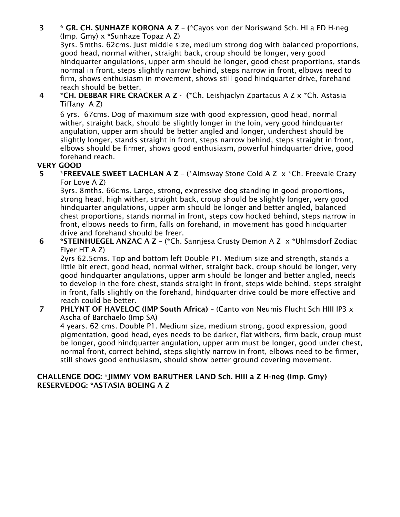3 \* GR. CH. SUNHAZE KORONA A Z – (\*Cayos von der Noriswand Sch. HI a ED H-neg (Imp. Gmy) x \*Sunhaze Topaz A Z)

3yrs. 5mths. 62cms. Just middle size, medium strong dog with balanced proportions, good head, normal wither, straight back, croup should be longer, very good hindquarter angulations, upper arm should be longer, good chest proportions, stands normal in front, steps slightly narrow behind, steps narrow in front, elbows need to firm, shows enthusiasm in movement, shows still good hindquarter drive, forehand reach should be better.

 4 \*CH. DEBBAR FIRE CRACKER A Z - (\*Ch. Leishjaclyn Zpartacus A Z x \*Ch. Astasia Tiffany A Z)

6 yrs. 67cms. Dog of maximum size with good expression, good head, normal wither, straight back, should be slightly longer in the loin, very good hindquarter angulation, upper arm should be better angled and longer, underchest should be slightly longer, stands straight in front, steps narrow behind, steps straight in front, elbows should be firmer, shows good enthusiasm, powerful hindquarter drive, good forehand reach.

## VERY GOOD

 5 \*FREEVALE SWEET LACHLAN A Z – (\*Aimsway Stone Cold A Z x \*Ch. Freevale Crazy For Love A Z)

3yrs. 8mths. 66cms. Large, strong, expressive dog standing in good proportions, strong head, high wither, straight back, croup should be slightly longer, very good hindquarter angulations, upper arm should be longer and better angled, balanced chest proportions, stands normal in front, steps cow hocked behind, steps narrow in front, elbows needs to firm, falls on forehand, in movement has good hindquarter drive and forehand should be freer.

 6 \*STEINHUEGEL ANZAC A Z – (\*Ch. Sannjesa Crusty Demon A Z x \*Uhlmsdorf Zodiac Flyer HT A Z)

2yrs 62.5cms. Top and bottom left Double P1. Medium size and strength, stands a little bit erect, good head, normal wither, straight back, croup should be longer, very good hindquarter angulations, upper arm should be longer and better angled, needs to develop in the fore chest, stands straight in front, steps wide behind, steps straight in front, falls slightly on the forehand, hindquarter drive could be more effective and reach could be better.

7 PHLYNT OF HAVELOC (IMP South Africa) - (Canto von Neumis Flucht Sch HIII IP3 x Ascha of Barchaelo (Imp SA)

4 years. 62 cms. Double P1. Medium size, medium strong, good expression, good pigmentation, good head, eyes needs to be darker, flat withers, firm back, croup must be longer, good hindquarter angulation, upper arm must be longer, good under chest, normal front, correct behind, steps slightly narrow in front, elbows need to be firmer, still shows good enthusiasm, should show better ground covering movement.

#### CHALLENGE DOG: \*JIMMY VOM BARUTHER LAND Sch. HIII a Z H-neg (Imp. Gmy) RESERVEDOG: \*ASTASIA BOEING A Z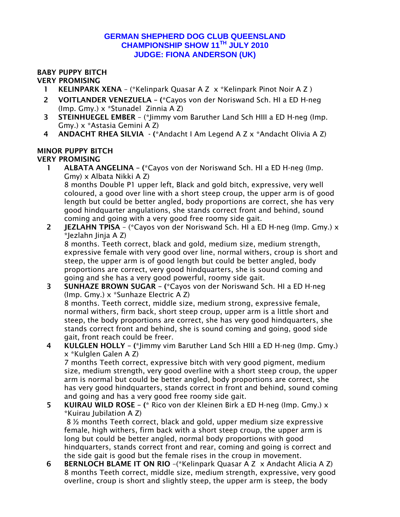## **GERMAN SHEPHERD DOG CLUB QUEENSLAND CHAMPIONSHIP SHOW 11TH JULY 2010 JUDGE: FIONA ANDERSON (UK)**

## BABY PUPPY BITCH

## VERY PROMISING

- 1 KELINPARK XENA (\*Kelinpark Quasar A Z x \*Kelinpark Pinot Noir A Z )
- 2 VOITLANDER VENEZUELA (\*Cayos von der Noriswand Sch. HI a ED H-neg (Imp. Gmy.) x \*Stunadel Zinnia A Z)
- 3 STEINHUEGEL EMBER (\*Jimmy vom Baruther Land Sch HIII a ED H-neg (Imp. Gmy.) x \*Astasia Gemini A Z)
- 4 ANDACHT RHEA SILVIA (\*Andacht I Am Legend A Z x \*Andacht Olivia A Z)

#### MINOR PUPPY BITCH VERY PROMISING

1 ALBATA ANGELINA – (\*Cayos von der Noriswand Sch. HI a ED H-neg (Imp. Gmy) x Albata Nikki A Z)

8 months Double P1 upper left, Black and gold bitch, expressive, very well coloured, a good over line with a short steep croup, the upper arm is of good length but could be better angled, body proportions are correct, she has very good hindquarter angulations, she stands correct front and behind, sound coming and going with a very good free roomy side gait.

2 JEZLAHN TPISA – (\*Cayos von der Noriswand Sch. HI a ED H-neg (Imp. Gmy.) x \*Jezlahn Jinja A Z)

8 months. Teeth correct, black and gold, medium size, medium strength, expressive female with very good over line, normal withers, croup is short and steep, the upper arm is of good length but could be better angled, body proportions are correct, very good hindquarters, she is sound coming and going and she has a very good powerful, roomy side gait.

3 SUNHAZE BROWN SUGAR – (\*Cayos von der Noriswand Sch. HI a ED H-neg (Imp. Gmy.) x \*Sunhaze Electric A Z)

8 months. Teeth correct, middle size, medium strong, expressive female, normal withers, firm back, short steep croup, upper arm is a little short and steep, the body proportions are correct, she has very good hindquarters, she stands correct front and behind, she is sound coming and going, good side gait, front reach could be freer.

4 KULGLEN HOLLY - (\*Jimmy vim Baruther Land Sch HIII a ED H-neg (Imp. Gmy.) x \*Kulglen Galen A Z)

7 months Teeth correct, expressive bitch with very good pigment, medium size, medium strength, very good overline with a short steep croup, the upper arm is normal but could be better angled, body proportions are correct, she has very good hindquarters, stands correct in front and behind, sound coming and going and has a very good free roomy side gait.

5 KUIRAU WILD ROSE – (\* Rico von der Kleinen Birk a ED H-neg (Imp. Gmy.) x \*Kuirau Jubilation A Z)

 8 ½ months Teeth correct, black and gold, upper medium size expressive female, high withers, firm back with a short steep croup, the upper arm is long but could be better angled, normal body proportions with good hindquarters, stands correct front and rear, coming and going is correct and the side gait is good but the female rises in the croup in movement.

6 BERNLOCH BLAME IT ON RIO –(\*Kelinpark Quasar A Z x Andacht Alicia A Z) 8 months Teeth correct, middle size, medium strength, expressive, very good overline, croup is short and slightly steep, the upper arm is steep, the body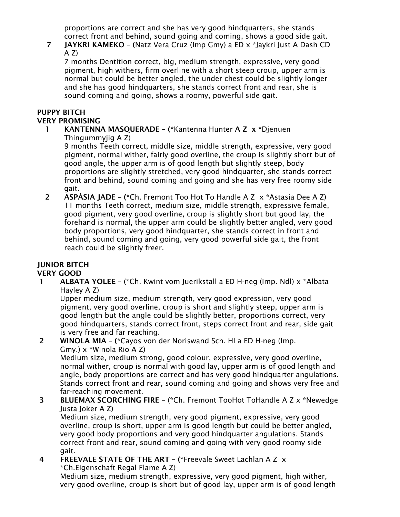proportions are correct and she has very good hindquarters, she stands correct front and behind, sound going and coming, shows a good side gait.

## 7 JAYKRI KAMEKO – (Natz Vera Cruz (Imp Gmy) a ED x \*Jaykri Just A Dash CD  $A Z$

7 months Dentition correct, big, medium strength, expressive, very good pigment, high withers, firm overline with a short steep croup, upper arm is normal but could be better angled, the under chest could be slightly longer and she has good hindquarters, she stands correct front and rear, she is sound coming and going, shows a roomy, powerful side gait.

#### PUPPY BITCH VERY PROMISING

## 1 KANTENNA MASQUERADE - (\*Kantenna Hunter A Z x \*Djenuen Thingummyjig A Z)

9 months Teeth correct, middle size, middle strength, expressive, very good pigment, normal wither, fairly good overline, the croup is slightly short but of good angle, the upper arm is of good length but slightly steep, body proportions are slightly stretched, very good hindquarter, she stands correct front and behind, sound coming and going and she has very free roomy side gait.

2 ASPÁSIA JADE – (\*Ch. Fremont Too Hot To Handle A Z  $\times$  \*Astasia Dee A Z) 11 months Teeth correct, medium size, middle strength, expressive female, good pigment, very good overline, croup is slightly short but good lay, the forehand is normal, the upper arm could be slightly better angled, very good body proportions, very good hindquarter, she stands correct in front and behind, sound coming and going, very good powerful side gait, the front reach could be slightly freer.

# JUNIOR BITCH

VERY GOOD

**1** ALBATA YOLEE – (\*Ch. Kwint vom Juerikstall a ED H-neg (Imp. Ndl)  $\times$  \*Albata Hayley A Z)

Upper medium size, medium strength, very good expression, very good pigment, very good overline, croup is short and slightly steep, upper arm is good length but the angle could be slightly better, proportions correct, very good hindquarters, stands correct front, steps correct front and rear, side gait is very free and far reaching.

## 2 WINOLA MIA – (\*Cayos von der Noriswand Sch. HI a ED H-neg (Imp. Gmy.) x \*Winola Rio A Z)

Medium size, medium strong, good colour, expressive, very good overline, normal wither, croup is normal with good lay, upper arm is of good length and angle, body proportions are correct and has very good hindquarter angulations. Stands correct front and rear, sound coming and going and shows very free and far-reaching movement.

## 3 BLUEMAX SCORCHING FIRE – (\*Ch. Fremont TooHot ToHandle A Z x \*Newedge Justa Joker A Z)

Medium size, medium strength, very good pigment, expressive, very good overline, croup is short, upper arm is good length but could be better angled, very good body proportions and very good hindquarter angulations. Stands correct front and rear, sound coming and going with very good roomy side gait.

 4 FREEVALE STATE OF THE ART – (\*Freevale Sweet Lachlan A Z x \*Ch.Eigenschaft Regal Flame A Z)

Medium size, medium strength, expressive, very good pigment, high wither, very good overline, croup is short but of good lay, upper arm is of good length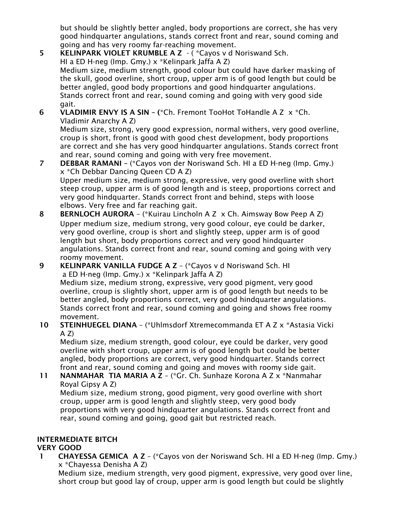but should be slightly better angled, body proportions are correct, she has very good hindquarter angulations, stands correct front and rear, sound coming and going and has very roomy far-reaching movement.

- 5 KELINPARK VIOLET KRUMBLE A Z ( \*Cayos v d Noriswand Sch. HI a ED H-neg (Imp. Gmy.) x \*Kelinpark Jaffa A Z) Medium size, medium strength, good colour but could have darker masking of the skull, good overline, short croup, upper arm is of good length but could be better angled, good body proportions and good hindquarter angulations. Stands correct front and rear, sound coming and going with very good side gait.
- 6 VLADIMIR ENVY IS A SIN (\*Ch. Fremont TooHot ToHandle A Z x \*Ch. Vladimir Anarchy A Z)

Medium size, strong, very good expression, normal withers, very good overline, croup is short, front is good with good chest development, body proportions are correct and she has very good hindquarter angulations. Stands correct front and rear, sound coming and going with very free movement.

- 7 DEBBAR RAMANI (\*Cayos von der Noriswand Sch. HI a ED H-neg (Imp. Gmy.) x \*Ch Debbar Dancing Queen CD A Z) Upper medium size, medium strong, expressive, very good overline with short steep croup, upper arm is of good length and is steep, proportions correct and very good hindquarter. Stands correct front and behind, steps with loose elbows. Very free and far reaching gait.
- 8 BERNLOCH AURORA (\*Kuirau Lincholn A Z x Ch. Aimsway Bow Peep A Z) Upper medium size, medium strong, very good colour, eye could be darker, very good overline, croup is short and slightly steep, upper arm is of good length but short, body proportions correct and very good hindquarter angulations. Stands correct front and rear, sound coming and going with very roomy movement.
- 9 KELINPARK VANILLA FUDGE A Z (\*Cayos v d Noriswand Sch. HI a ED H-neg (Imp. Gmy.) x \*Kelinpark Jaffa A Z) Medium size, medium strong, expressive, very good pigment, very good overline, croup is slightly short, upper arm is of good length but needs to be better angled, body proportions correct, very good hindquarter angulations. Stands correct front and rear, sound coming and going and shows free roomy movement.
- 10 STEINHUEGEL DIANA (\*Uhlmsdorf Xtremecommanda ET A Z x \*Astasia Vicki  $A Z$

Medium size, medium strength, good colour, eye could be darker, very good overline with short croup, upper arm is of good length but could be better angled, body proportions are correct, very good hindquarter. Stands correct front and rear, sound coming and going and moves with roomy side gait.

 11 NANMAHAR TIA MARIA A Z – (\*Gr. Ch. Sunhaze Korona A Z x \*Nanmahar Royal Gipsy A Z)

Medium size, medium strong, good pigment, very good overline with short croup, upper arm is good length and slightly steep, very good body proportions with very good hindquarter angulations. Stands correct front and rear, sound coming and going, good gait but restricted reach.

# INTERMEDIATE BITCH

# VERY GOOD

 1 CHAYESSA GEMICA A Z – (\*Cayos von der Noriswand Sch. HI a ED H-neg (Imp. Gmy.) x \*Chayessa Denisha A Z)

Medium size, medium strength, very good pigment, expressive, very good over line, short croup but good lay of croup, upper arm is good length but could be slightly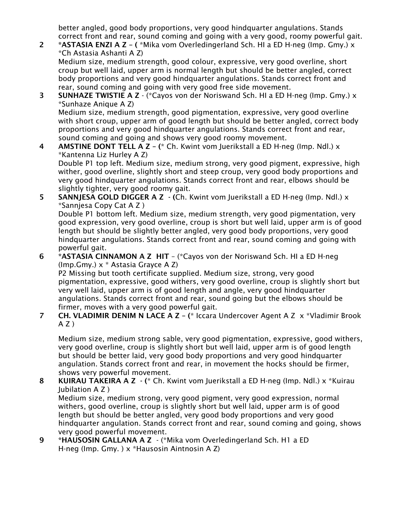better angled, good body proportions, very good hindquarter angulations. Stands correct front and rear, sound coming and going with a very good, roomy powerful gait.

 2 \*ASTASIA ENZI A Z – ( \*Mika vom Overledingerland Sch. HI a ED H-neg (Imp. Gmy.) x \*Ch Astasia Ashanti A Z)

Medium size, medium strength, good colour, expressive, very good overline, short croup but well laid, upper arm is normal length but should be better angled, correct body proportions and very good hindquarter angulations. Stands correct front and rear, sound coming and going with very good free side movement.

 3 SUNHAZE TWISTIE A Z - (\*Cayos von der Noriswand Sch. HI a ED H-neg (Imp. Gmy.) x \*Sunhaze Anique A Z) Medium size, medium strength, good pigmentation, expressive, very good overline

with short croup, upper arm of good length but should be better angled, correct body proportions and very good hindquarter angulations. Stands correct front and rear, sound coming and going and shows very good roomy movement.

**4** AMSTINE DONT TELL A  $Z - (k)$  Ch. Kwint vom Juerikstall a ED H-neg (Imp. Ndl.) x \*Kantenna Liz Hurley A Z) Double P1 top left. Medium size, medium strong, very good pigment, expressive, high

wither, good overline, slightly short and steep croup, very good body proportions and very good hindquarter angulations. Stands correct front and rear, elbows should be slightly tighter, very good roomy gait.

5 SANNJESA GOLD DIGGER A Z  $-$  (Ch. Kwint vom Juerikstall a ED H-neg (Imp. Ndl.)  $\times$ \*Sannjesa Copy Cat A Z )

Double P1 bottom left. Medium size, medium strength, very good pigmentation, very good expression, very good overline, croup is short but well laid, upper arm is of good length but should be slightly better angled, very good body proportions, very good hindquarter angulations. Stands correct front and rear, sound coming and going with powerful gait.

 6 \*ASTASIA CINNAMON A Z HIT – (\*Cayos von der Noriswand Sch. HI a ED H-neg (Imp.Gmy.) x \* Astasia Grayce A Z) P2 Missing but tooth certificate supplied. Medium size, strong, very good

pigmentation, expressive, good withers, very good overline, croup is slightly short but very well laid, upper arm is of good length and angle, very good hindquarter angulations. Stands correct front and rear, sound going but the elbows should be firmer, moves with a very good powerful gait.

7 CH. VLADIMIR DENIM N LACE A Z - (\* Iccara Undercover Agent A Z x \* Vladimir Brook  $A Z$ )

Medium size, medium strong sable, very good pigmentation, expressive, good withers, very good overline, croup is slightly short but well laid, upper arm is of good length but should be better laid, very good body proportions and very good hindquarter angulation. Stands correct front and rear, in movement the hocks should be firmer, shows very powerful movement.

- 8 KUIRAU TAKEIRA A Z (\* Ch. Kwint vom Juerikstall a ED H-neg (Imp. Ndl.) x \*Kuirau Jubilation A Z ) Medium size, medium strong, very good pigment, very good expression, normal withers, good overline, croup is slightly short but well laid, upper arm is of good length but should be better angled, very good body proportions and very good
	- hindquarter angulation. Stands correct front and rear, sound coming and going, shows very good powerful movement.
- 9 \*HAUSOSIN GALLANA A Z (\*Mika vom Overledingerland Sch. H1 a ED H-neg (Imp. Gmy. ) x \*Hausosin Aintnosin A Z)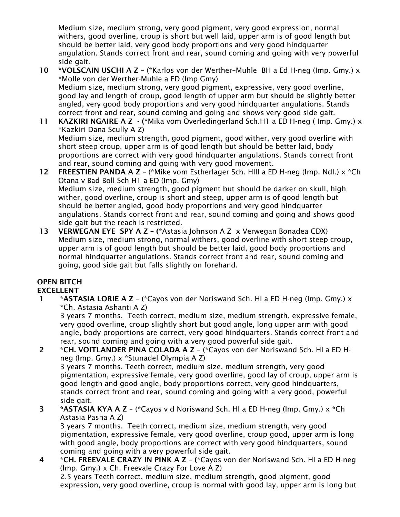Medium size, medium strong, very good pigment, very good expression, normal withers, good overline, croup is short but well laid, upper arm is of good length but should be better laid, very good body proportions and very good hindquarter angulation. Stands correct front and rear, sound coming and going with very powerful side gait.

- 10 \*VOLSCAIN USCHI A Z (\*Karlos von der Werther–Muhle BH a Ed H-neg (Imp. Gmy.)  $\times$ \*Molle von der Werther-Muhle a ED (Imp Gmy) Medium size, medium strong, very good pigment, expressive, very good overline, good lay and length of croup, good length of upper arm but should be slightly better angled, very good body proportions and very good hindquarter angulations. Stands correct front and rear, sound coming and going and shows very good side gait.
- 11 KAZKIRI NGAIRE A Z (\*Mika vom Overledingerland Sch.H1 a ED H-neg ( Imp. Gmy.) x \*Kazkiri Dana Scully A Z) Medium size, medium strength, good pigment, good wither, very good overline with short steep croup, upper arm is of good length but should be better laid, body proportions are correct with very good hindquarter angulations. Stands correct front
- and rear, sound coming and going with very good movement. 12 FREESTIEN PANDA A Z - (\*Mike vom Estherlager Sch. HIII a ED H-neg (Imp. Ndl.) x \*Ch Otana v Bad Boll Sch H1 a ED (Imp. Gmy) Medium size, medium strength, good pigment but should be darker on skull, high wither, good overline, croup is short and steep, upper arm is of good length but should be better angled, good body proportions and very good hindquarter angulations. Stands correct front and rear, sound coming and going and shows good side gait but the reach is restricted.
- 13 VERWEGAN EYE SPY A Z (\*Astasia Johnson A Z x Verwegan Bonadea CDX) Medium size, medium strong, normal withers, good overline with short steep croup, upper arm is of good length but should be better laid, good body proportions and normal hindquarter angulations. Stands correct front and rear, sound coming and going, good side gait but falls slightly on forehand.

# OPEN BITCH

## EXCELLENT

 1 \*ASTASIA LORIE A Z – (\*Cayos von der Noriswand Sch. HI a ED H-neg (Imp. Gmy.) x \*Ch. Astasia Ashanti A Z)

3 years 7 months. Teeth correct, medium size, medium strength, expressive female, very good overline, croup slightly short but good angle, long upper arm with good angle, body proportions are correct, very good hindquarters. Stands correct front and rear, sound coming and going with a very good powerful side gait.

- 2 \*CH. VOITLANDER PINA COLADA A Z (\*Cayos von der Noriswand Sch. HI a ED Hneg (Imp. Gmy.) x \*Stunadel Olympia A Z) 3 years 7 months. Teeth correct, medium size, medium strength, very good pigmentation, expressive female, very good overline, good lay of croup, upper arm is good length and good angle, body proportions correct, very good hindquarters, stands correct front and rear, sound coming and going with a very good, powerful side gait.
- 3 \*ASTASIA KYA A Z (\*Cayos v d Noriswand Sch. HI a ED H-neg (Imp. Gmy.) x \*Ch Astasia Pasha A Z) 3 years 7 months. Teeth correct, medium size, medium strength, very good pigmentation, expressive female, very good overline, croup good, upper arm is long with good angle, body proportions are correct with very good hindquarters, sound

coming and going with a very powerful side gait.

 4 \*CH. FREEVALE CRAZY IN PINK A Z – (\*Cayos von der Noriswand Sch. HI a ED H-neg (Imp. Gmy.) x Ch. Freevale Crazy For Love A Z) 2.5 years Teeth correct, medium size, medium strength, good pigment, good expression, very good overline, croup is normal with good lay, upper arm is long but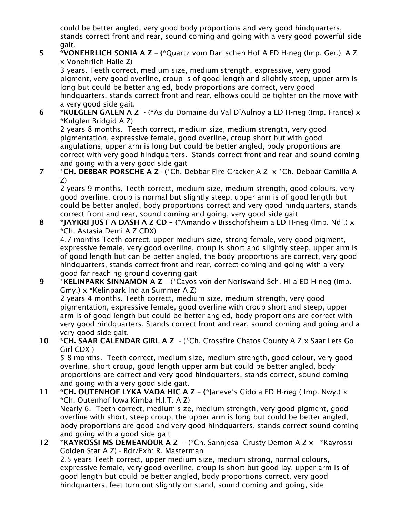could be better angled, very good body proportions and very good hindquarters, stands correct front and rear, sound coming and going with a very good powerful side gait.

 5 \*VONEHRLICH SONIA A Z – (\*Quartz vom Danischen Hof A ED H-neg (Imp. Ger.) A Z x Vonehrlich Halle Z)

3 years. Teeth correct, medium size, medium strength, expressive, very good pigment, very good overline, croup is of good length and slightly steep, upper arm is long but could be better angled, body proportions are correct, very good hindquarters, stands correct front and rear, elbows could be tighter on the move with a very good side gait.

 6 \*KULGLEN GALEN A Z - (\*As du Domaine du Val D'Aulnoy a ED H-neg (Imp. France) x \*Kulglen Bridgid A Z)

2 years 8 months. Teeth correct, medium size, medium strength, very good pigmentation, expressive female, good overline, croup short but with good angulations, upper arm is long but could be better angled, body proportions are correct with very good hindquarters. Stands correct front and rear and sound coming and going with a very good side gait

 7 \*CH. DEBBAR PORSCHE A Z –(\*Ch. Debbar Fire Cracker A Z x \*Ch. Debbar Camilla A Z)

2 years 9 months, Teeth correct, medium size, medium strength, good colours, very good overline, croup is normal but slightly steep, upper arm is of good length but could be better angled, body proportions correct and very good hindquarters, stands correct front and rear, sound coming and going, very good side gait

 8 \*JAYKRI JUST A DASH A Z CD – (\*Amando v Bisschofsheim a ED H-neg (Imp. Ndl.) x \*Ch. Astasia Demi A Z CDX)

4.7 months Teeth correct, upper medium size, strong female, very good pigment, expressive female, very good overline, croup is short and slightly steep, upper arm is of good length but can be better angled, the body proportions are correct, very good hindquarters, stands correct front and rear, correct coming and going with a very good far reaching ground covering gait

 9 \*KELINPARK SINNAMON A Z – (\*Cayos von der Noriswand Sch. HI a ED H-neg (Imp. Gmy.) x \*Kelinpark Indian Summer A Z)

2 years 4 months. Teeth correct, medium size, medium strength, very good pigmentation, expressive female, good overline with croup short and steep, upper arm is of good length but could be better angled, body proportions are correct with very good hindquarters. Stands correct front and rear, sound coming and going and a very good side gait.

10 \*CH. SAAR CALENDAR GIRL A Z - (\*Ch. Crossfire Chatos County A Z x Saar Lets Go Girl CDX )

5 8 months. Teeth correct, medium size, medium strength, good colour, very good overline, short croup, good length upper arm but could be better angled, body proportions are correct and very good hindquarters, stands correct, sound coming and going with a very good side gait.

- 11 \*CH. OUTENHOF LYKA VADA HIC A Z (\*Janeve's Gido a ED H-neg (Imp. Nwy.) x \*Ch. Outenhof Iowa Kimba H.I.T. A Z) Nearly 6. Teeth correct, medium size, medium strength, very good pigment, good overline with short, steep croup, the upper arm is long but could be better angled, body proportions are good and very good hindquarters, stands correct sound coming and going with a good side gait
- 12 \*KAYROSSI MS DEMEANOUR A Z (\*Ch. Sannjesa Crusty Demon A Z x \*Kayrossi Golden Star A Z) - Bdr/Exh: R. Masterman

2.5 years Teeth correct, upper medium size, medium strong, normal colours, expressive female, very good overline, croup is short but good lay, upper arm is of good length but could be better angled, body proportions correct, very good hindquarters, feet turn out slightly on stand, sound coming and going, side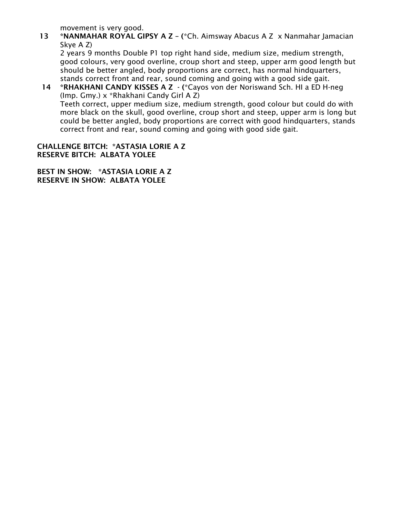movement is very good.

13 \*NANMAHAR ROYAL GIPSY A Z - (\*Ch. Aimsway Abacus A Z x Nanmahar Jamacian Skye A Z)

2 years 9 months Double P1 top right hand side, medium size, medium strength, good colours, very good overline, croup short and steep, upper arm good length but should be better angled, body proportions are correct, has normal hindquarters, stands correct front and rear, sound coming and going with a good side gait.

14 \*RHAKHANI CANDY KISSES A Z - (\*Cayos von der Noriswand Sch. HI a ED H-neg (Imp. Gmy.) x \*Rhakhani Candy Girl A Z) Teeth correct, upper medium size, medium strength, good colour but could do with more black on the skull, good overline, croup short and steep, upper arm is long but could be better angled, body proportions are correct with good hindquarters, stands correct front and rear, sound coming and going with good side gait.

CHALLENGE BITCH: \*ASTASIA LORIE A Z RESERVE BITCH: ALBATA YOLEE

BEST IN SHOW: \*ASTASIA LORIE A Z RESERVE IN SHOW: ALBATA YOLEE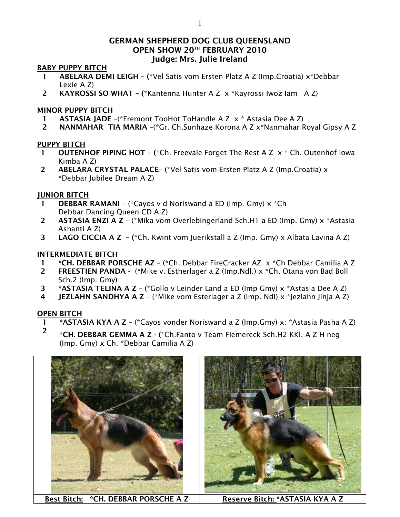## GERMAN SHEPHERD DOG CLUB QUEENSLAND OPEN SHOW 20TH FEBRUARY 2010 Judge: Mrs. Julie Ireland

#### BABY PUPPY BITCH

- 1 ABELARA DEMI LEIGH (\*Vel Satis vom Ersten Platz A Z (Imp.Croatia) x\*Debbar Lexie A Z)
- 2 KAYROSSI SO WHAT (\*Kantenna Hunter A Z x \*Kayrossi Iwoz Iam A Z)

## MINOR PUPPY BITCH

- 1 ASTASIA JADE –(\*Fremont TooHot ToHandle A Z x \* Astasia Dee A Z)
- 2 NANMAHAR TIA MARIA –(\*Gr. Ch.Sunhaze Korona A Z x\*Nanmahar Royal Gipsy A Z

## PUPPY BITCH

- 1 **OUTENHOF PIPING HOT –** (\*Ch. Freevale Forget The Rest A Z  $\times$  \* Ch. Outenhof Iowa Kimba A Z)
- 2 ABELARA CRYSTAL PALACE– (\*Vel Satis vom Ersten Platz A Z (Imp.Croatia) x \*Debbar Jubilee Dream A Z)

## JUNIOR BITCH

- 1 DEBBAR RAMANI (\*Cayos v d Noriswand a ED (Imp. Gmy)  $x$  \*Ch Debbar Dancing Queen CD A Z)
- 2 ASTASIA ENZI A Z (\*Mika vom Overlebingerland Sch.H1 a ED (Imp. Gmy) x \*Astasia Ashanti A Z)
- 3 LAGO CICCIA A Z (\*Ch. Kwint vom Juerikstall a Z (Imp. Gmy) x Albata Lavina A Z)

## INTERMEDIATE BITCH

- 1 \*CH. DEBBAR PORSCHE AZ (\*Ch. Debbar FireCracker AZ x \*Ch Debbar Camilia A Z
- 2 FREESTIEN PANDA (\*Mike v. Estherlager a Z (Imp.Ndl.) x \*Ch. Otana von Bad Boll Sch.2 (Imp. Gmy)
- 3 \*ASTASIA TELINA A Z (\*Gollo v Leinder Land a ED (Imp Gmy) x \*Astasia Dee A Z)
- 4 JEZLAHN SANDHYA A Z (\*Mike vom Esterlager a Z (Imp. Ndl) x \*Jezlahn Jinja A Z)

## OPEN BITCH

- 1 \*ASTASIA KYA A Z (\*Cayos vonder Noriswand a Z (Imp.Gmy) x: \*Astasia Pasha A Z)
- <sup>2</sup> \*CH. DEBBAR GEMMA A Z (\*Ch.Fanto v Team Fiemereck Sch.H2 KKI. A Z H-neg (Imp. Gmy) x Ch. \*Debbar Camilia A Z)





Best Bitch: \*CH. DEBBAR PORSCHE A Z | Reserve Bitch: \*ASTASIA KYA A Z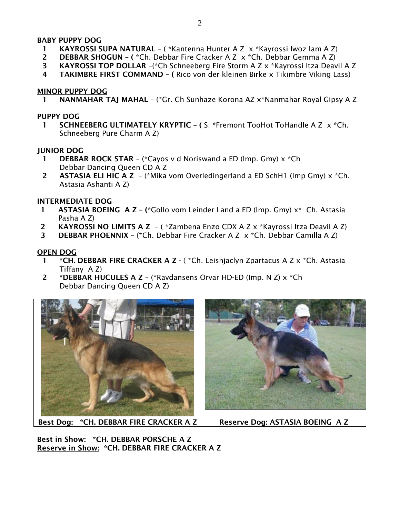## BABY PUPPY DOG

- 1 KAYROSSI SUPA NATURAL ( \*Kantenna Hunter A Z x \*Kayrossi Iwoz Iam A Z)
- 2 DEBBAR SHOGUN (\*Ch. Debbar Fire Cracker A Z x \*Ch. Debbar Gemma A Z)
- 3 KAYROSSI TOP DOLLAR –(\*Ch Schneeberg Fire Storm A Z x \*Kayrossi Itza Deavil A Z
- 4 TAKIMBRE FIRST COMMAND ( Rico von der kleinen Birke x Tikimbre Viking Lass)

## MINOR PUPPY DOG

1 NANMAHAR TAJ MAHAL – (\*Gr. Ch Sunhaze Korona AZ x\*Nanmahar Royal Gipsy A Z

### PUPPY DOG

1 SCHNEEBERG ULTIMATELY KRYPTIC - (S: \*Fremont TooHot ToHandle A Z x \*Ch. Schneeberg Pure Charm A Z)

## JUNIOR DOG

- **1 DEBBAR ROCK STAR** (\*Cayos v d Noriswand a ED (lmp. Gmy)  $x$  \*Ch Debbar Dancing Queen CD A Z
- 2 ASTASIA ELI HIC A  $Z -$  (\*Mika vom Overledingerland a ED SchH1 (Imp Gmy)  $x *$ Ch. Astasia Ashanti A Z)

## INTERMEDIATE DOG

- 1 **ASTASIA BOEING A Z** (\*Gollo vom Leinder Land a ED (Imp. Gmy)  $x^*$  Ch. Astasia Pasha A Z)
- 2 KAYROSSI NO LIMITS A Z ( \*Zambena Enzo CDX A Z x \*Kayrossi Itza Deavil A Z)
- 3 DEBBAR PHOENNIX (\*Ch. Debbar Fire Cracker A Z x \*Ch. Debbar Camilla A Z)

## OPEN DOG

- 1 \*CH. DEBBAR FIRE CRACKER A Z (\*Ch. Leishjaclyn Zpartacus A Z x \*Ch. Astasia Tiffany A Z)
- 2 \*DEBBAR HUCULES A Z (\*Ravdansens Orvar HD-ED (Imp. N Z) x \*Ch Debbar Dancing Queen CD A Z)





Best Dog: \*CH. DEBBAR FIRE CRACKER A Z | Reserve Dog: ASTASIA BOEING A Z

Best in Show: \*CH. DEBBAR PORSCHE A Z Reserve in Show: \* CH. DEBBAR FIRE CRACKER A Z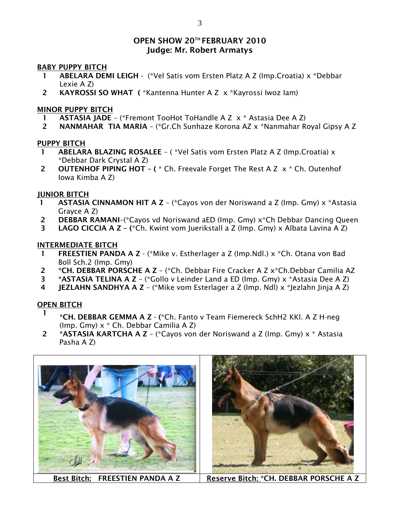## OPEN SHOW 20TH FEBRUARY 2010 Judge: Mr. Robert Armatys

#### BABY PUPPY BITCH

- 1 ABELARA DEMI LEIGH (\*Vel Satis vom Ersten Platz A Z (Imp.Croatia) x \*Debbar Lexie A Z)
- 2 KAYROSSI SO WHAT ( \*Kantenna Hunter A Z x \*Kayrossi Iwoz Iam)

## MINOR PUPPY BITCH

- 1 ASTASIA JADE (\*Fremont TooHot ToHandle A Z x \* Astasia Dee A Z)
- 2 NANMAHAR TIA MARIA (\*Gr.Ch Sunhaze Korona AZ x \*Nanmahar Royal Gipsy A Z

## PUPPY BITCH

- ABELARA BLAZING ROSALEE ( \*Vel Satis vom Ersten Platz A Z (Imp.Croatia) x \*Debbar Dark Crystal A Z)
- 2 OUTENHOF PIPING HOT ( $*$  Ch. Freevale Forget The Rest A Z  $\times$   $*$  Ch. Outenhof Iowa Kimba A Z)

## JUNIOR BITCH

- 1 ASTASIA CINNAMON HIT A Z (\*Cayos von der Noriswand a Z (Imp. Gmy) x \*Astasia Grayce A Z)
- 2 DEBBAR RAMANI–(\*Cayos vd Noriswand aED (Imp. Gmy) x\*Ch Debbar Dancing Queen
- **3** LAGO CICCIA A Z (\*Ch. Kwint vom Juerikstall a Z (Imp. Gmy) x Albata Lavina A Z)

## INTERMEDIATE BITCH

- 1 FREESTIEN PANDA A Z (\*Mike v. Estherlager a Z (Imp.Ndl.) x \*Ch. Otana von Bad Boll Sch.2 (Imp. Gmy)
- 2 \*CH. DEBBAR PORSCHE A Z (\*Ch. Debbar Fire Cracker A Z x\*Ch.Debbar Camilia AZ
- 3 \*ASTASIA TELINA A Z (\*Gollo v Leinder Land a ED (Imp. Gmy) x \*Astasia Dee A Z)
- 4 JEZLAHN SANDHYA A Z (\*Mike vom Esterlager a Z (Imp. Ndl) x \*Jezlahn Jinja A Z)

## OPEN BITCH

- <sup>1</sup> \*CH. DEBBAR GEMMA A Z (\*Ch. Fanto v Team Fiemereck SchH2 KKl. A Z H-neg (Imp. Gmy) x \* Ch. Debbar Camilia A Z)
- 2 \*ASTASIA KARTCHA A Z (\*Cayos von der Noriswand a Z (Imp. Gmy)  $x *$  Astasia Pasha A Z)



Best Bitch: FREESTIEN PANDA A Z | Reserve Bitch: \*CH. DEBBAR PORSCHE A Z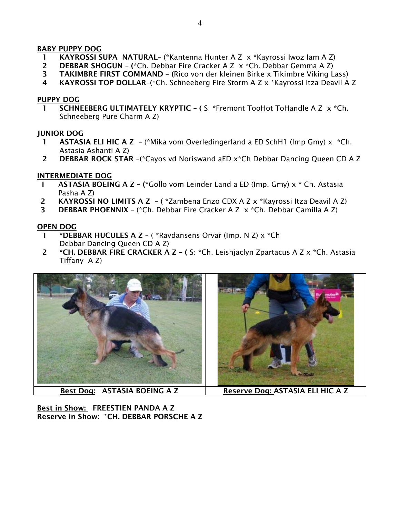## BABY PUPPY DOG

- 1 KAYROSSI SUPA NATURAL– (\*Kantenna Hunter A Z x \*Kayrossi Iwoz Iam A Z)
- **2** DEBBAR SHOGUN (\*Ch. Debbar Fire Cracker A Z  $\times$  \*Ch. Debbar Gemma A Z)
- 3 TAKIMBRE FIRST COMMAND (Rico von der kleinen Birke x Tikimbre Viking Lass)
- 4 KAYROSSI TOP DOLLAR–(\*Ch. Schneeberg Fire Storm A Z x \*Kayrossi Itza Deavil A Z

## PUPPY DOG

1 SCHNEEBERG ULTIMATELY KRYPTIC - (S: \*Fremont TooHot ToHandle A Z x \*Ch. Schneeberg Pure Charm A Z)

## JUNIOR DOG

- 1 **ASTASIA ELI HIC A Z** (\*Mika vom Overledingerland a ED SchH1 (Imp Gmy)  $x$  \*Ch. Astasia Ashanti A Z)
- 2 DEBBAR ROCK STAR –(\*Cayos vd Noriswand aED x\*Ch Debbar Dancing Queen CD A Z

## INTERMEDIATE DOG

- **ASTASIA BOEING A Z (\*Gollo vom Leinder Land a ED (Imp. Gmy)**  $x$  **\* Ch. Astasia** Pasha A Z)
- 2 KAYROSSI NO LIMITS A Z ( \*Zambena Enzo CDX A Z x \*Kayrossi Itza Deavil A Z)
- **3** DEBBAR PHOENNIX (\*Ch. Debbar Fire Cracker A Z  $\times$  \*Ch. Debbar Camilla A Z)

## OPEN DOG

- 1 \*DEBBAR HUCULES A Z ( \*Ravdansens Orvar (Imp. N Z) x \*Ch Debbar Dancing Queen CD A Z)
- 2 \*CH. DEBBAR FIRE CRACKER A Z ( S: \*Ch. Leishjaclyn Zpartacus A Z x \*Ch. Astasia Tiffany A Z)



Best in Show: FREESTIEN PANDA A Z Reserve in Show: \* CH. DEBBAR PORSCHE A Z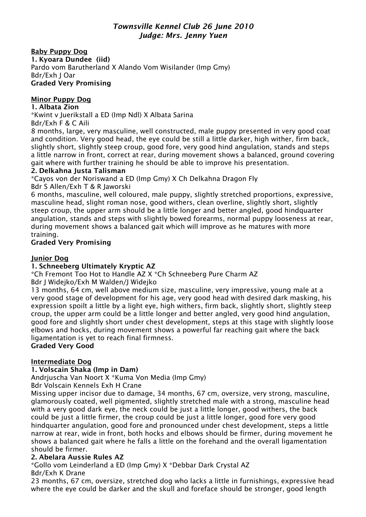## *Townsville Kennel Club 26 June 2010 Judge: Mrs. Jenny Yuen*

Baby Puppy Dog

1. Kyoara Dundee (iid) Pardo vom Barutherland X Alando Vom Wisilander (Imp Gmy) Bdr/Exh J Oar

# Graded Very Promising

# Minor Puppy Dog

## 1. Albata Zion

\*Kwint v Juerikstall a ED (Imp Ndl) X Albata Sarina

Bdr/Exh F & C Aili

8 months, large, very masculine, well constructed, male puppy presented in very good coat and condition. Very good head, the eye could be still a little darker, high wither, firm back, slightly short, slightly steep croup, good fore, very good hind angulation, stands and steps a little narrow in front, correct at rear, during movement shows a balanced, ground covering gait where with further training he should be able to improve his presentation.

## 2. Delkahna Justa Talisman

\*Cayos von der Noriswand a ED (Imp Gmy) X Ch Delkahna Dragon Fly Bdr S Allen/Exh T & R Jaworski

6 months, masculine, well coloured, male puppy, slightly stretched proportions, expressive, masculine head, slight roman nose, good withers, clean overline, slightly short, slightly steep croup, the upper arm should be a little longer and better angled, good hindquarter angulation, stands and steps with slightly bowed forearms, normal puppy looseness at rear, during movement shows a balanced gait which will improve as he matures with more training.

## Graded Very Promising

## Junior Dog

## 1. Schneeberg Ultimately Kryptic AZ

\*Ch Fremont Too Hot to Handle AZ X \*Ch Schneeberg Pure Charm AZ

Bdr J Widejko/Exh M Walden/J Widejko

13 months, 64 cm, well above medium size, masculine, very impressive, young male at a very good stage of development for his age, very good head with desired dark masking, his expression spoilt a little by a light eye, high withers, firm back, slightly short, slightly steep croup, the upper arm could be a little longer and better angled, very good hind angulation, good fore and slightly short under chest development, steps at this stage with slightly loose elbows and hocks, during movement shows a powerful far reaching gait where the back ligamentation is yet to reach final firmness. Graded Very Good

# Intermediate Dog

# 1. Volscain Shaka (Imp in Dam)

Andrjuscha Van Noort X \*Kuma Von Media (Imp Gmy)

Bdr Volscain Kennels Exh H Crane

Missing upper incisor due to damage, 34 months, 67 cm, oversize, very strong, masculine, glamorously coated, well pigmented, slightly stretched male with a strong, masculine head with a very good dark eye, the neck could be just a little longer, good withers, the back could be just a little firmer, the croup could be just a little longer, good fore very good hindquarter angulation, good fore and pronounced under chest development, steps a little narrow at rear, wide in front, both hocks and elbows should be firmer, during movement he shows a balanced gait where he falls a little on the forehand and the overall ligamentation should be firmer.

## 2. Abelara Aussie Rules AZ

\*Gollo vom Leinderland a ED (Imp Gmy) X \*Debbar Dark Crystal AZ Bdr/Exh K Drane

23 months, 67 cm, oversize, stretched dog who lacks a little in furnishings, expressive head where the eye could be darker and the skull and foreface should be stronger, good length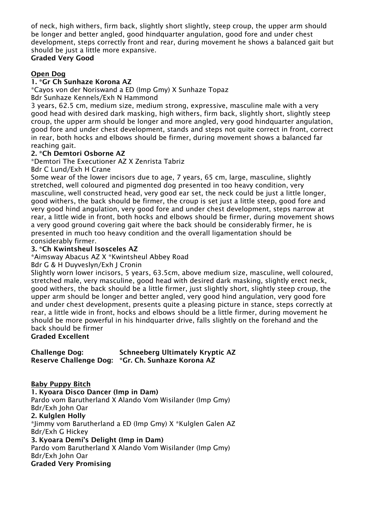of neck, high withers, firm back, slightly short slightly, steep croup, the upper arm should be longer and better angled, good hindquarter angulation, good fore and under chest development, steps correctly front and rear, during movement he shows a balanced gait but should be just a little more expansive.

### Graded Very Good

## Open Dog

### 1. \*Gr Ch Sunhaze Korona AZ

\*Cayos von der Noriswand a ED (Imp Gmy) X Sunhaze Topaz Bdr Sunhaze Kennels/Exh N Hammond

3 years, 62.5 cm, medium size, medium strong, expressive, masculine male with a very good head with desired dark masking, high withers, firm back, slightly short, slightly steep croup, the upper arm should be longer and more angled, very good hindquarter angulation, good fore and under chest development, stands and steps not quite correct in front, correct in rear, both hocks and elbows should be firmer, during movement shows a balanced far reaching gait.

## 2. \*Ch Demtori Osborne AZ

\*Demtori The Executioner AZ X Zenrista Tabriz

Bdr C Lund/Exh H Crane

Some wear of the lower incisors due to age, 7 years, 65 cm, large, masculine, slightly stretched, well coloured and pigmented dog presented in too heavy condition, very masculine, well constructed head, very good ear set, the neck could be just a little longer, good withers, the back should be firmer, the croup is set just a little steep, good fore and very good hind angulation, very good fore and under chest development, steps narrow at rear, a little wide in front, both hocks and elbows should be firmer, during movement shows a very good ground covering gait where the back should be considerably firmer, he is presented in much too heavy condition and the overall ligamentation should be considerably firmer.

#### 3. \*Ch Kwintsheul Isosceles AZ

\*Aimsway Abacus AZ X \*Kwintsheul Abbey Road

Bdr G & H Duyveslyn/Exh J Cronin

Slightly worn lower incisors, 5 years, 63.5cm, above medium size, masculine, well coloured, stretched male, very masculine, good head with desired dark masking, slightly erect neck, good withers, the back should be a little firmer, just slightly short, slightly steep croup, the upper arm should be longer and better angled, very good hind angulation, very good fore and under chest development, presents quite a pleasing picture in stance, steps correctly at rear, a little wide in front, hocks and elbows should be a little firmer, during movement he should be more powerful in his hindquarter drive, falls slightly on the forehand and the back should be firmer

Graded Excellent

| Challenge Dog: | <b>Schneeberg Ultimately Kryptic AZ</b>           |
|----------------|---------------------------------------------------|
|                | Reserve Challenge Dog: *Gr. Ch. Sunhaze Korona AZ |

Baby Puppy Bitch 1. Kyoara Disco Dancer (Imp in Dam) Pardo vom Barutherland X Alando Vom Wisilander (Imp Gmy) Bdr/Exh John Oar 2. Kulglen Holly \*Jimmy vom Barutherland a ED (Imp Gmy) X \*Kulglen Galen AZ Bdr/Exh G Hickey 3. Kyoara Demi's Delight (Imp in Dam) Pardo vom Barutherland X Alando Vom Wisilander (Imp Gmy) Bdr/Exh John Oar Graded Very Promising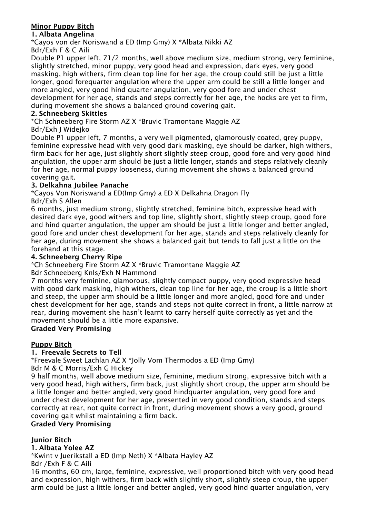## Minor Puppy Bitch

## 1. Albata Angelina

\*Cayos von der Noriswand a ED (Imp Gmy) X \*Albata Nikki AZ

Bdr/Exh F & C Aili

Double P1 upper left, 71/2 months, well above medium size, medium strong, very feminine, slightly stretched, minor puppy, very good head and expression, dark eyes, very good masking, high withers, firm clean top line for her age, the croup could still be just a little longer, good forequarter angulation where the upper arm could be still a little longer and more angled, very good hind quarter angulation, very good fore and under chest development for her age, stands and steps correctly for her age, the hocks are yet to firm, during movement she shows a balanced ground covering gait.

## 2. Schneeberg Skittles

\*Ch Schneeberg Fire Storm AZ X \*Bruvic Tramontane Maggie AZ

## Bdr/Exh J Widejko

Double P1 upper left, 7 months, a very well pigmented, glamorously coated, grey puppy, feminine expressive head with very good dark masking, eye should be darker, high withers, firm back for her age, just slightly short slightly steep croup, good fore and very good hind angulation, the upper arm should be just a little longer, stands and steps relatively cleanly for her age, normal puppy looseness, during movement she shows a balanced ground covering gait.

## 3. Delkahna Jubilee Panache

\*Cayos Von Noriswand a ED(Imp Gmy) a ED X Delkahna Dragon Fly

## Bdr/Exh S Allen

6 months, just medium strong, slightly stretched, feminine bitch, expressive head with desired dark eye, good withers and top line, slightly short, slightly steep croup, good fore and hind quarter angulation, the upper am should be just a little longer and better angled, good fore and under chest development for her age, stands and steps relatively cleanly for her age, during movement she shows a balanced gait but tends to fall just a little on the forehand at this stage.

## 4. Schneeberg Cherry Ripe

\*Ch Schneeberg Fire Storm AZ X \*Bruvic Tramontane Maggie AZ

## Bdr Schneeberg Knls/Exh N Hammond

7 months very feminine, glamorous, slightly compact puppy, very good expressive head with good dark masking, high withers, clean top line for her age, the croup is a little short and steep, the upper arm should be a little longer and more angled, good fore and under chest development for her age, stands and steps not quite correct in front, a little narrow at rear, during movement she hasn't learnt to carry herself quite correctly as yet and the movement should be a little more expansive.

## Graded Very Promising

## Puppy Bitch

## 1. Freevale Secrets to Tell

\*Freevale Sweet Lachlan AZ X \*Jolly Vom Thermodos a ED (Imp Gmy)

Bdr M & C Morris/Exh G Hickey

9 half months, well above medium size, feminine, medium strong, expressive bitch with a very good head, high withers, firm back, just slightly short croup, the upper arm should be a little longer and better angled, very good hindquarter angulation, very good fore and under chest development for her age, presented in very good condition, stands and steps correctly at rear, not quite correct in front, during movement shows a very good, ground covering gait whilst maintaining a firm back.

## Graded Very Promising

## Junior Bitch

## 1. Albata Yolee AZ

\*Kwint v Juerikstall a ED (Imp Neth) X \*Albata Hayley AZ Bdr /Exh F & C Aili

16 months, 60 cm, large, feminine, expressive, well proportioned bitch with very good head and expression, high withers, firm back with slightly short, slightly steep croup, the upper arm could be just a little longer and better angled, very good hind quarter angulation, very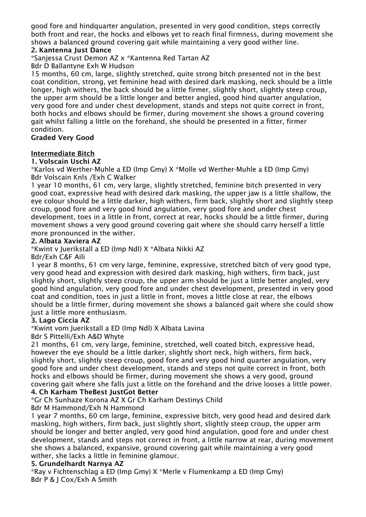good fore and hindquarter angulation, presented in very good condition, steps correctly both front and rear, the hocks and elbows yet to reach final firmness, during movement she shows a balanced ground covering gait while maintaining a very good wither line.

## 2. Kantenna Just Dance

\*Sanjessa Crust Demon AZ x \*Kantenna Red Tartan AZ

Bdr D Ballantyne Exh W Hudson

15 months, 60 cm, large, slightly stretched, quite strong bitch presented not in the best coat condition, strong, yet feminine head with desired dark masking, neck should be a little longer, high withers, the back should be a little firmer, slightly short, slightly steep croup, the upper arm should be a little longer and better angled, good hind quarter angulation, very good fore and under chest development, stands and steps not quite correct in front, both hocks and elbows should be firmer, during movement she shows a ground covering gait whilst falling a little on the forehand, she should be presented in a fitter, firmer condition.

Graded Very Good

## Intermediate Bitch

1. Volscain Uschi AZ

\*Karlos vd Werther-Muhle a ED (Imp Gmy) X \*Molle vd Werther-Muhle a ED (Imp Gmy) Bdr Volscain Knls /Exh C Walker

1 year 10 months, 61 cm, very large, slightly stretched, feminine bitch presented in very good coat, expressive head with desired dark masking, the upper jaw is a little shallow, the eye colour should be a little darker, high withers, firm back, slightly short and slightly steep croup, good fore and very good hind angulation, very good fore and under chest development, toes in a little in front, correct at rear, hocks should be a little firmer, during movement shows a very good ground covering gait where she should carry herself a little more pronounced in the wither.

## 2. Albata Xaviera AZ

\*Kwint v Juerikstall a ED (Imp Ndl) X \*Albata Nikki AZ

Bdr/Exh C&F Aili

1 year 8 months, 61 cm very large, feminine, expressive, stretched bitch of very good type, very good head and expression with desired dark masking, high withers, firm back, just slightly short, slightly steep croup, the upper arm should be just a little better angled, very good hind angulation, very good fore and under chest development, presented in very good coat and condition, toes in just a little in front, moves a little close at rear, the elbows should be a little firmer, during movement she shows a balanced gait where she could show just a little more enthusiasm.

#### 3. Lago Ciccia AZ

\*Kwint vom Juerikstall a ED (Imp Ndl) X Albata Lavina

Bdr S Pittelli/Exh A&D Whyte

21 months, 61 cm, very large, feminine, stretched, well coated bitch, expressive head, however the eye should be a little darker, slightly short neck, high withers, firm back, slightly short, slightly steep croup, good fore and very good hind quarter angulation, very good fore and under chest development, stands and steps not quite correct in front, both hocks and elbows should be firmer, during movement she shows a very good, ground covering gait where she falls just a little on the forehand and the drive looses a little power.

## 4. Ch Karham TheBest JustGot Better

\*Gr Ch Sunhaze Korona AZ X Gr Ch Karham Destinys Child

Bdr M Hammond/Exh N Hammond

1 year 7 months, 60 cm large, feminine, expressive bitch, very good head and desired dark masking, high withers, firm back, just slightly short, slightly steep croup, the upper arm should be longer and better angled, very good hind angulation, good fore and under chest development, stands and steps not correct in front, a little narrow at rear, during movement she shows a balanced, expansive, ground covering gait while maintaining a very good wither, she lacks a little in feminine glamour.

#### 5. Grundelhardt Narnya AZ

\*Ray v Fichtenschlag a ED (Imp Gmy) X \*Merle v Flumenkamp a ED (Imp Gmy) Bdr P & J Cox/Exh A Smith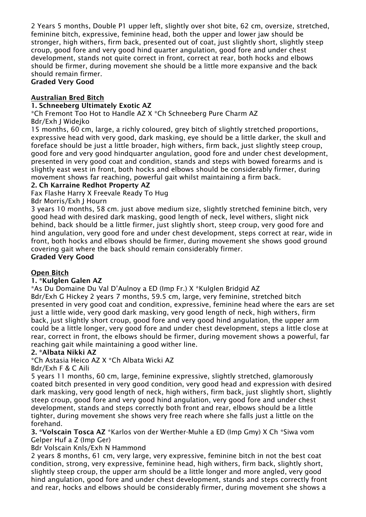2 Years 5 months, Double P1 upper left, slightly over shot bite, 62 cm, oversize, stretched, feminine bitch, expressive, feminine head, both the upper and lower jaw should be stronger, high withers, firm back, presented out of coat, just slightly short, slightly steep croup, good fore and very good hind quarter angulation, good fore and under chest development, stands not quite correct in front, correct at rear, both hocks and elbows should be firmer, during movement she should be a little more expansive and the back should remain firmer.

## Graded Very Good

## Australian Bred Bitch

#### 1. Schneeberg Ultimately Exotic AZ

\*Ch Fremont Too Hot to Handle AZ X \*Ch Schneeberg Pure Charm AZ Bdr/Exh J Widejko

15 months, 60 cm, large, a richly coloured, grey bitch of slightly stretched proportions, expressive head with very good, dark masking, eye should be a little darker, the skull and foreface should be just a little broader, high withers, firm back, just slightly steep croup, good fore and very good hindquarter angulation, good fore and under chest development, presented in very good coat and condition, stands and steps with bowed forearms and is slightly east west in front, both hocks and elbows should be considerably firmer, during movement shows far reaching, powerful gait whilst maintaining a firm back.

## 2. Ch Karraine Redhot Property AZ

Fax Flashe Harry X Freevale Ready To Hug

Bdr Morris/Exh J Hourn

3 years 10 months, 58 cm. just above medium size, slightly stretched feminine bitch, very good head with desired dark masking, good length of neck, level withers, slight nick behind, back should be a little firmer, just slightly short, steep croup, very good fore and hind angulation, very good fore and under chest development, steps correct at rear, wide in front, both hocks and elbows should be firmer, during movement she shows good ground covering gait where the back should remain considerably firmer.

# Graded Very Good

## Open Bitch

#### 1. \*Kulglen Galen AZ

\*As Du Domaine Du Val D'Aulnoy a ED (Imp Fr.) X \*Kulglen Bridgid AZ

Bdr/Exh G Hickey 2 years 7 months, 59.5 cm, large, very feminine, stretched bitch presented in very good coat and condition, expressive, feminine head where the ears are set just a little wide, very good dark masking, very good length of neck, high withers, firm back, just slightly short croup, good fore and very good hind angulation, the upper arm could be a little longer, very good fore and under chest development, steps a little close at rear, correct in front, the elbows should be firmer, during movement shows a powerful, far reaching gait while maintaining a good wither line.

#### 2. \*Albata Nikki AZ

\*Ch Astasia Heico AZ X \*Ch Albata Wicki AZ

Bdr/Exh F & C Aili

5 years 11 months, 60 cm, large, feminine expressive, slightly stretched, glamorously coated bitch presented in very good condition, very good head and expression with desired dark masking, very good length of neck, high withers, firm back, just slightly short, slightly steep croup, good fore and very good hind angulation, very good fore and under chest development, stands and steps correctly both front and rear, elbows should be a little tighter, during movement she shows very free reach where she falls just a little on the forehand.

3. \*Volscain Tosca AZ \*Karlos von der Werther-Muhle a ED (Imp Gmy) X Ch \*Siwa vom Gelper Huf a Z (Imp Ger)

Bdr Volscain Knls/Exh N Hammond

2 years 8 months, 61 cm, very large, very expressive, feminine bitch in not the best coat condition, strong, very expressive, feminine head, high withers, firm back, slightly short, slightly steep croup, the upper arm should be a little longer and more angled, very good hind angulation, good fore and under chest development, stands and steps correctly front and rear, hocks and elbows should be considerably firmer, during movement she shows a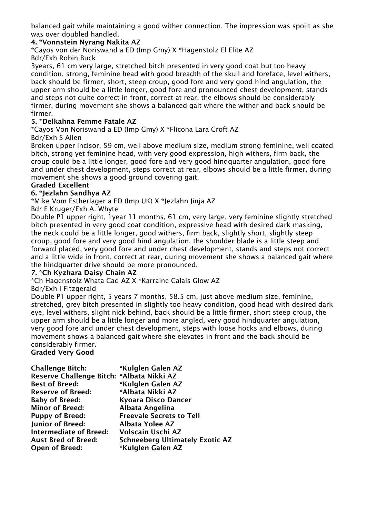balanced gait while maintaining a good wither connection. The impression was spoilt as she was over doubled handled.

## 4. \*Vonnstein Nyrang Nakita AZ

\*Cayos von der Noriswand a ED (Imp Gmy) X \*Hagenstolz El Elite AZ Bdr/Exh Robin Buck

3years, 61 cm very large, stretched bitch presented in very good coat but too heavy condition, strong, feminine head with good breadth of the skull and foreface, level withers, back should be firmer, short, steep croup, good fore and very good hind angulation, the upper arm should be a little longer, good fore and pronounced chest development, stands and steps not quite correct in front, correct at rear, the elbows should be considerably firmer, during movement she shows a balanced gait where the wither and back should be firmer.

## 5. \*Delkahna Femme Fatale AZ

\*Cayos Von Noriswand a ED (Imp Gmy) X \*Flicona Lara Croft AZ

## Bdr/Exh S Allen

Broken upper incisor, 59 cm, well above medium size, medium strong feminine, well coated bitch, strong yet feminine head, with very good expression, high withers, firm back, the croup could be a little longer, good fore and very good hindquarter angulation, good fore and under chest development, steps correct at rear, elbows should be a little firmer, during movement she shows a good ground covering gait.

## Graded Excellent

## 6. \*Jezlahn Sandhya AZ

\*Mike Vom Estherlager a ED (Imp UK) X \*Jezlahn Jinja AZ

## Bdr E Kruger/Exh A. Whyte

Double P1 upper right, 1year 11 months, 61 cm, very large, very feminine slightly stretched bitch presented in very good coat condition, expressive head with desired dark masking, the neck could be a little longer, good withers, firm back, slightly short, slightly steep croup, good fore and very good hind angulation, the shoulder blade is a little steep and forward placed, very good fore and under chest development, stands and steps not correct and a little wide in front, correct at rear, during movement she shows a balanced gait where the hindquarter drive should be more pronounced.

#### 7. \*Ch Kyzhara Daisy Chain AZ

\*Ch Hagenstolz Whata Cad AZ X \*Karraine Calais Glow AZ

#### Bdr/Exh I Fitzgerald

Double P1 upper right, 5 years 7 months, 58.5 cm, just above medium size, feminine, stretched, grey bitch presented in slightly too heavy condition, good head with desired dark eye, level withers, slight nick behind, back should be a little firmer, short steep croup, the upper arm should be a little longer and more angled, very good hindquarter angulation, very good fore and under chest development, steps with loose hocks and elbows, during movement shows a balanced gait where she elevates in front and the back should be considerably firmer.

#### Graded Very Good

| <b>Challenge Bitch:</b>                   | *Kulglen Galen AZ                      |
|-------------------------------------------|----------------------------------------|
| Reserve Challenge Bitch: *Albata Nikki AZ |                                        |
| <b>Best of Breed:</b>                     | *Kulglen Galen AZ                      |
| <b>Reserve of Breed:</b>                  | *Albata Nikki AZ                       |
| <b>Baby of Breed:</b>                     | <b>Kyoara Disco Dancer</b>             |
| <b>Minor of Breed:</b>                    | Albata Angelina                        |
| <b>Puppy of Breed:</b>                    | <b>Freevale Secrets to Tell</b>        |
| <b>Junior of Breed:</b>                   | <b>Albata Yolee AZ</b>                 |
| <b>Intermediate of Breed:</b>             | Volscain Uschi AZ                      |
| <b>Aust Bred of Breed:</b>                | <b>Schneeberg Ultimately Exotic AZ</b> |
| <b>Open of Breed:</b>                     | *Kulglen Galen AZ                      |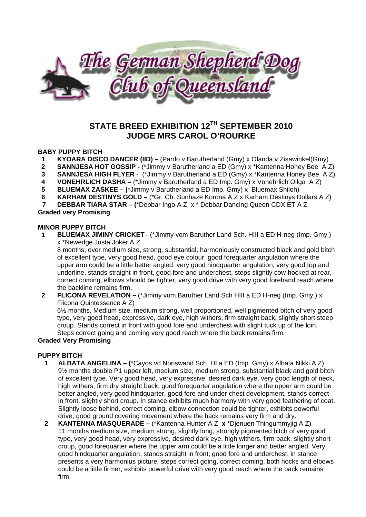

# **STATE BREED EXHIBITION 12TH SEPTEMBER 2010 JUDGE MRS CAROL O'ROURKE**

#### **BABY PUPPY BITCH**

- **1 KYOARA DISCO DANCER (IID) –** (Pardo v Barutherland (Gmy) x Olanda v Zisawinkel(Gmy)
- **2 SANNJESA HOT GOSSIP** (\*Jimmy v Barutherland a ED (Gmy) x \*Kantenna Honey Bee A Z)
- **3 SANNJESA HIGH FLYER** (\*Jimmy v Barutherland a ED (Gmy) x \*Kantenna Honey Bee A Z)
- **4 VONEHRLICH DASHA –** (\*Jimmy v Barutherland a ED Imp. Gmy) x Vonehrlich Ollga A Z)
- **5 BLUEMAX ZASKEE (**\*Jimmy v Barutherland a ED Imp. Gmy) x Bluemax Shiloh)
- **6 KARHAM DESTINYS GOLD** (\*Gr. Ch. Sunhaze Korona A Z x Karham Destinys Dollars A Z)
- **7 DEBBAR TIARA STAR (**\*Debbar Ingo A Z x \* Debbar Dancing Queen CDX ET A Z

#### **Graded very Promising**

#### **MINOR PUPPY BITCH**

**1 BLUEMAX JIMINY CRICKET**– (\*Jimmy vom Baruther Land Sch. HIII a ED H-neg (Imp. Gmy.) x \*Newedge Justa Joker A Z

8 months, over medium size, strong, substantial, harmoniously constructed black and gold bitch of excellent type, very good head, good eye colour, good forequarter angulation where the upper arm could be a little better angled, very good hindquarter angulation, very good top and underline, stands straight in front, good fore and underchest, steps slightly cow hocked at rear, correct coming, elbows should be tighter, very good drive with very good forehand reach where the backline remains firm.

**2 FLICONA REVELATION –** (\*Jimmy vom Baruther Land Sch HIII a ED H-neg (Imp. Gmy.) x Flicona Quintessence A Z)

6½ months, Medium size, medium strong, well proportioned, well pigmented bitch of very good type, very good head, expressive, dark eye, high withers, firm straight back, slightly short steep croup. Stands correct in front with good fore and underchest with slight tuck up of the loin. Steps correct going and coming very good reach where the back remains firm.

#### **Graded Very Promising**

#### **PUPPY BITCH**

- **1 ALBATA ANGELINA (**\*Cayos vd Noriswand Sch. HI a ED (Imp. Gmy) x Albata Nikki A Z) 9½ months double P1 upper left, medium size, medium strong, substantial black and gold bitch of excellent type. Very good head, very expressive, desired dark eye, very good length of neck, high withers, firm dry straight back, good forequarter angulation where the upper arm could be better angled, very good hindquarter, good fore and under chest development, stands correct in front, slightly short croup. In stance exhibits much harmony with very good feathering of coat. Slightly loose behind, correct coming, elbow connection could be tighter, exhibits powerful drive, good ground covering movement where the back remains very firm and dry.
- **2 KANTENNA MASQUERADE** (\*Kantenna Hunter A Z **x** \*Djenuen Thingummyjig A Z) 11 months medium size, medium strong, slightly long, strongly pigmented bitch of very good type, very good head, very expressive, desired dark eye, high withers, firm back, slightly short croup, good forequarter where the upper arm could be a little longer and better angled. Very good hindquarter angulation, stands straight in front, good fore and underchest, in stance presents a very harmonius picture, steps correct going, correct coming, both hocks and elbows could be a little firmer, exhibits powerful drive with very good reach where the back remains firm.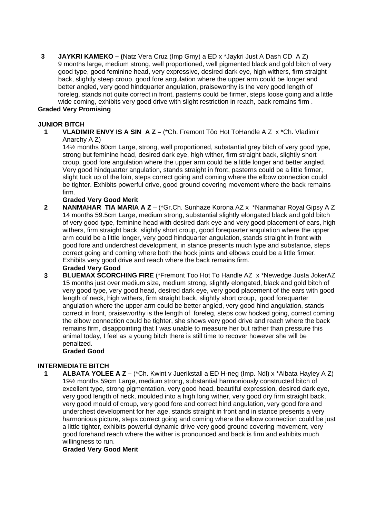**3 JAYKRI KAMEKO – (**Natz Vera Cruz (Imp Gmy) a ED x \*Jaykri Just A Dash CD A Z) 9 months large, medium strong, well proportioned, well pigmented black and gold bitch of very good type, good feminine head, very expressive, desired dark eye, high withers, firm straight back, slightly steep croup, good fore angulation where the upper arm could be longer and better angled, very good hindquarter angulation, praiseworthy is the very good length of foreleg, stands not quite correct in front, pasterns could be firmer, steps loose going and a little wide coming, exhibits very good drive with slight restriction in reach, back remains firm .

### **Graded Very Promising**

### **JUNIOR BITCH**

**1 VLADIMIR ENVY IS A SIN A Z –** (\*Ch. Fremont Tôo Hot ToHandle A Z x \*Ch. Vladimir Anarchy A Z)

14½ months 60cm Large, strong, well proportioned, substantial grey bitch of very good type, strong but feminine head, desired dark eye, high wither, firm straight back, slightly short croup, good fore angulation where the upper arm could be a little longer and better angled. Very good hindquarter angulation, stands straight in front, pasterns could be a little firmer, slight tuck up of the loin, steps correct going and coming where the elbow connection could be tighter. Exhibits powerful drive, good ground covering movement where the back remains firm.

#### **Graded Very Good Merit**

**2 NANMAHAR TIA MARIA A Z** – (\*Gr.Ch. Sunhaze Korona AZ x \*Nanmahar Royal Gipsy A Z 14 months 59.5cm Large, medium strong, substantial slightly elongated black and gold bitch of very good type, feminine head with desired dark eye and very good placement of ears, high withers, firm straight back, slightly short croup, good forequarter angulation where the upper arm could be a little longer, very good hindquarter angulation, stands straight in front with good fore and underchest development, in stance presents much type and substance, steps correct going and coming where both the hock joints and elbows could be a little firmer. Exhibits very good drive and reach where the back remains firm.

## **Graded Very Good**

**3 BLUEMAX SCORCHING FIRE** (\*Fremont Too Hot To Handle AZ x \*Newedge Justa JokerAZ 15 months just over medium size, medium strong, slightly elongated, black and gold bitch of very good type, very good head, desired dark eye, very good placement of the ears with good length of neck, high withers, firm straight back, slightly short croup, good forequarter angulation where the upper arm could be better angled, very good hind angulation, stands correct in front, praiseworthy is the length of foreleg, steps cow hocked going, correct coming the elbow connection could be tighter, she shows very good drive and reach where the back remains firm, disappointing that I was unable to measure her but rather than pressure this animal today, I feel as a young bitch there is still time to recover however she will be penalized.

#### **Graded Good**

## **INTERMEDIATE BITCH**

**1 ALBATA YOLEE A Z –** (\*Ch. Kwint v Juerikstall a ED H-neg (Imp. Ndl) x \*Albata Hayley A Z) 19½ months 59cm Large, medium strong, substantial harmoniously constructed bitch of excellent type, strong pigmentation, very good head, beautiful expression, desired dark eye, very good length of neck, moulded into a high long wither, very good dry firm straight back, very good mould of croup, very good fore and correct hind angulation, very good fore and underchest development for her age, stands straight in front and in stance presents a very harmonious picture, steps correct going and coming where the elbow connection could be just a little tighter, exhibits powerful dynamic drive very good ground covering movement, very good forehand reach where the wither is pronounced and back is firm and exhibits much willingness to run.

#### **Graded Very Good Merit**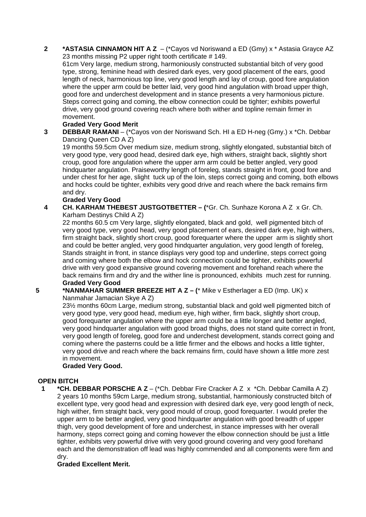**2 \*ASTASIA CINNAMON HIT A Z** – (\*Cayos vd Noriswand a ED (Gmy) x \* Astasia Grayce AZ 23 months missing P2 upper right tooth certificate # 149.

61cm Very large, medium strong, harmoniously constructed substantial bitch of very good type, strong, feminine head with desired dark eyes, very good placement of the ears, good length of neck, harmonious top line, very good length and lay of croup, good fore angulation where the upper arm could be better laid, very good hind angulation with broad upper thigh, good fore and underchest development and in stance presents a very harmonious picture. Steps correct going and coming, the elbow connection could be tighter; exhibits powerful drive, very good ground covering reach where both wither and topline remain firmer in movement.

### **Graded Very Good Merit**

**3 DEBBAR RAMANI** – (\*Cayos von der Noriswand Sch. HI a ED H-neg (Gmy.) x \*Ch. Debbar Dancing Queen CD A Z)

19 months 59.5cm Over medium size, medium strong, slightly elongated, substantial bitch of very good type, very good head, desired dark eye, high withers, straight back, slightly short croup, good fore angulation where the upper arm arm could be better angled, very good hindquarter angulation. Praiseworthy length of foreleg, stands straight in front, good fore and under chest for her age, slight tuck up of the loin, steps correct going and coming, both elbows and hocks could be tighter, exhibits very good drive and reach where the back remains firm and dry.

## **Graded Very Good**

**4 CH. KARHAM THEBEST JUSTGOTBETTER – (**\*Gr. Ch. Sunhaze Korona A Z x Gr. Ch. Karham Destinys Child A Z)

22 months 60.5 cm Very large, slightly elongated, black and gold, well pigmented bitch of very good type, very good head, very good placement of ears, desired dark eye, high withers, firm straight back, slightly short croup, good forequarter where the upper arm is slightly short and could be better angled, very good hindquarter angulation, very good length of foreleg, Stands straight in front, in stance displays very good top and underline, steps correct going and coming where both the elbow and hock connection could be tighter, exhibits powerful drive with very good expansive ground covering movement and forehand reach where the back remains firm and dry and the wither line is pronounced, exhibits much zest for running. **Graded Very Good** 

## **5 \*NANMAHAR SUMMER BREEZE HIT A Z – (**\* Mike v Estherlager a ED (Imp. UK) x

Nanmahar Jamacian Skye A Z)

23½ months 60cm Large, medium strong, substantial black and gold well pigmented bitch of very good type, very good head, medium eye, high wither, firm back, slightly short croup, good forequarter angulation where the upper arm could be a little longer and better angled, very good hindquarter angulation with good broad thighs, does not stand quite correct in front, very good length of foreleg, good fore and underchest development, stands correct going and coming where the pasterns could be a little firmer and the elbows and hocks a little tighter, very good drive and reach where the back remains firm, could have shown a little more zest in movement.

## **Graded Very Good.**

#### **OPEN BITCH**

**1 \*CH. DEBBAR PORSCHE A Z** – (\*Ch. Debbar Fire Cracker A Z x \*Ch. Debbar Camilla A Z) 2 years 10 months 59cm Large, medium strong, substantial, harmoniously constructed bitch of excellent type, very good head and expression with desired dark eye, very good length of neck, high wither, firm straight back, very good mould of croup, good forequarter. I would prefer the upper arm to be better angled, very good hindquarter angulation with good breadth of upper thigh, very good development of fore and underchest, in stance impresses with her overall harmony, steps correct going and coming however the elbow connection should be just a little tighter, exhibits very powerful drive with very good ground covering and very good forehand each and the demonstration off lead was highly commended and all components were firm and dry.

#### **Graded Excellent Merit.**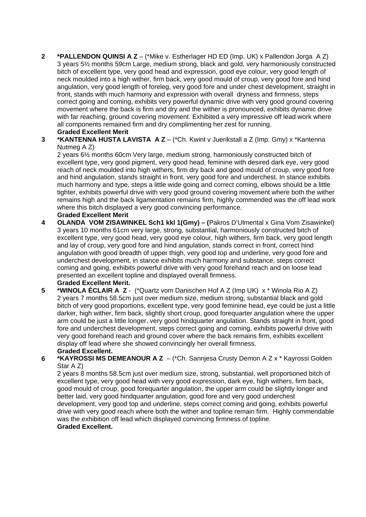**2 \*PALLENDON QUINSI A Z** – (\*Mike v. Estherlager HD ED (Imp. UK) x Pallendon Jorga A Z) 3 years 5½ months 59cm Large, medium strong, black and gold, very harmoniously constructed bitch of excellent type, very good head and expression, good eye colour, very good length of neck moulded into a high wither, firm back, very good mould of croup, very good fore and hind angulation, very good length of foreleg, very good fore and under chest development, straight in front, stands with much harmony and expression with overall dryness and firmness, steps correct going and coming, exhibits very powerful dynamic drive with very good ground covering movement where the back is firm and dry and the wither is pronounced, exhibits dynamic drive with far reaching, ground covering movement. Exhibited a very impressive off lead work where all components remained firm and dry complimenting her zest for running.

## **Graded Excellent Merit**

**3 \*KANTENNA HUSTA LAVISTA A Z** – (\*Ch. Kwint v Juerikstall a Z (Imp. Gmy) x \*Kantenna Nutmeg A Z)

2 years 6½ months 60cm Very large, medium strong, harmoniously constructed bitch of excellent type, very good pigment, very good head, feminine with desired dark eye, very good reach of neck moulded into high withers, firm dry back and good mould of croup, very good fore and hind angulation, stands straight in front, very good fore and underchest. In stance exhibits much harmony and type, steps a little wide going and correct coming, elbows should be a little tighter, exhibits powerful drive with very good ground covering movement where both the wither remains high and the back ligamentation remains firm, highly commended was the off lead work where this bitch displayed a very good convincing performance. **Graded Excellent Merit** 

**4 OLANDA VOM ZISAWINKEL Sch1 kkl 1(Gmy) – (**Pakros D'Ulmental x Gina Vom Zisawinkel) 3 years 10 months 61cm very large, strong, substantial, harmoniously constructed bitch of excellent type, very good head, very good eye colour, high withers, firm back, very good length and lay of croup, very good fore and hind angulation, stands correct in front, correct hind angulation with good breadth of upper thigh, very good top and underline, very good fore and underchest development, in stance exhibits much harmony and substance, steps correct coming and going, exhibits powerful drive with very good forehand reach and on loose lead presented an excellent topline and displayed overall firmness.

#### **Graded Excellent Merit.**

- **5 \*WINOLA ÉCLAIR A Z** (\*Quartz vom Danischen Hof A Z (Imp UK) x \* Winola Rio A Z) 2 years 7 months 58.5cm just over medium size, medium strong, substantial black and gold bitch of very good proportions, excellent type, very good feminine head, eye could be just a little darker, high wither, firm back, slightly short croup, good forequarter angulation where the upper arm could be just a little longer, very good hindquarter angulation. Stands straight in front, good fore and underchest development, steps correct going and coming, exhibits powerful drive with very good forehand reach and ground cover where the back remains firm, exhibits excellent display off lead where she showed convincingly her overall firmness. **Graded Excellent.**
- **6 \*KAYROSSI MS DEMEANOUR A Z** (\*Ch. Sannjesa Crusty Demon A Z x \* Kayrossi Golden Star A Z)

2 years 8 months 58.5cm just over medium size, strong, substantial, well proportioned bitch of excellent type, very good head with very good expression, dark eye, high withers, firm back, good mould of croup, good forequarter angulation, the upper arm could be slightly longer and better laid, very good hindquarter angulation, good fore and very good underchest development, very good top and underline, steps correct coming and going, exhibits powerful drive with very good reach where both the wither and topline remain firm. Highly commendable was the exhibition off lead which displayed convincing firmness of topline. **Graded Excellent.**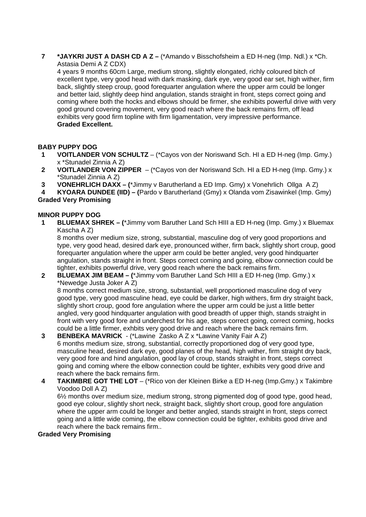**7 \*JAYKRI JUST A DASH CD A Z –** (\*Amando v Bisschofsheim a ED H-neg (Imp. Ndl.) x \*Ch. Astasia Demi A Z CDX)

4 years 9 months 60cm Large, medium strong, slightly elongated, richly coloured bitch of excellent type, very good head with dark masking, dark eye, very good ear set, high wither, firm back, slightly steep croup, good forequarter angulation where the upper arm could be longer and better laid, slightly deep hind angulation, stands straight in front, steps correct going and coming where both the hocks and elbows should be firmer, she exhibits powerful drive with very good ground covering movement, very good reach where the back remains firm, off lead exhibits very good firm topline with firm ligamentation, very impressive performance. **Graded Excellent.** 

## **BABY PUPPY DOG**

- **1 VOITLANDER VON SCHULTZ** (\*Cayos von der Noriswand Sch. HI a ED H-neg (Imp. Gmy.) x \*Stunadel Zinnia A Z)
- **2 VOITLANDER VON ZIPPER**  (\*Cayos von der Noriswand Sch. HI a ED H-neg (Imp. Gmy.) x \*Stunadel Zinnia A Z)
- **3 VONEHRLICH DAXX (**\*Jimmy v Barutherland a ED Imp. Gmy) x Vonehrlich Ollga A Z)

**4 KYOARA DUNDEE (IID) – (**Pardo v Barutherland (Gmy) x Olanda vom Zisawinkel (Imp. Gmy) **Graded Very Promising** 

#### **MINOR PUPPY DOG**

**1 BLUEMAX SHREK – (**\*Jimmy vom Baruther Land Sch HIII a ED H-neg (Imp. Gmy.) x Bluemax Kascha A Z)

8 months over medium size, strong, substantial, masculine dog of very good proportions and type, very good head, desired dark eye, pronounced wither, firm back, slightly short croup, good forequarter angulation where the upper arm could be better angled, very good hindquarter angulation, stands straight in front. Steps correct coming and going, elbow connection could be tighter, exhibits powerful drive, very good reach where the back remains firm.

**2 BLUEMAX JIM BEAM – (**\*Jimmy vom Baruther Land Sch HIII a ED H-neg (Imp. Gmy.) x \*Newedge Justa Joker A Z)

8 months correct medium size, strong, substantial, well proportioned masculine dog of very good type, very good masculine head, eye could be darker, high withers, firm dry straight back, slightly short croup, good fore angulation where the upper arm could be just a little better angled, very good hindquarter angulation with good breadth of upper thigh, stands straight in front with very good fore and underchest for his age, steps correct going, correct coming, hocks could be a little firmer, exhbits very good drive and reach where the back remains firm.

- **3 BENBEKA MAVRICK**  (\*Lawine Zasko A Z x \*Lawine Vanity Fair A Z) 6 months medium size, strong, substantial, correctly proportioned dog of very good type, masculine head, desired dark eye, good planes of the head, high wither, firm straight dry back, very good fore and hind angulation, good lay of croup, stands straight in front, steps correct going and coming where the elbow connection could be tighter, exhibits very good drive and reach where the back remains firm.
- **4 TAKIMBRE GOT THE LOT** (\*Rico von der Kleinen Birke a ED H-neg (Imp.Gmy.) x Takimbre Voodoo Doll A Z) 6½ months over medium size, medium strong, strong pigmented dog of good type, good head,

good eye colour, slightly short neck, straight back, slightly short croup, good fore angulation where the upper arm could be longer and better angled, stands straight in front, steps correct going and a little wide coming, the elbow connection could be tighter, exhibits good drive and reach where the back remains firm..

#### **Graded Very Promising**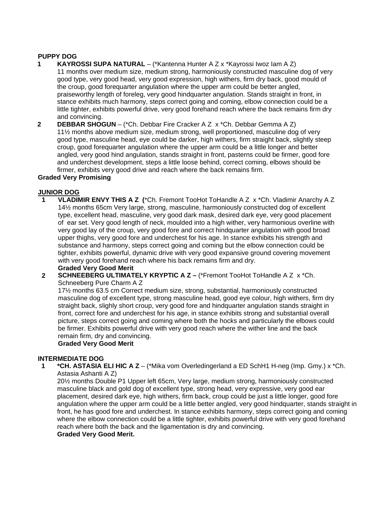#### **PUPPY DOG**

- **1 KAYROSSI SUPA NATURAL** (\*Kantenna Hunter A Z x \*Kayrossi Iwoz Iam A Z) 11 months over medium size, medium strong, harmoniously constructed masculine dog of very good type, very good head, very good expression, high withers, firm dry back, good mould of the croup, good forequarter angulation where the upper arm could be better angled, praiseworthy length of foreleg, very good hindquarter angulation. Stands straight in front, in stance exhibits much harmony, steps correct going and coming, elbow connection could be a little tighter, exhibits powerful drive, very good forehand reach where the back remains firm dry and convincing.
- **2 DEBBAR SHOGUN**  (\*Ch. Debbar Fire Cracker A Z x \*Ch. Debbar Gemma A Z) 11½ months above medium size, medium strong, well proportioned, masculine dog of very good type, masculine head, eye could be darker, high withers, firm straight back, slightly steep croup, good forequarter angulation where the upper arm could be a little longer and better angled, very good hind angulation, stands straight in front, pasterns could be firmer, good fore and underchest development, steps a little loose behind, correct coming, elbows should be firmer, exhibits very good drive and reach where the back remains firm.

#### **Graded Very Promising**

#### **JUNIOR DOG**

**1 VLADIMIR ENVY THIS A Z (**\*Ch. Fremont TooHot ToHandle A Z x \*Ch. Vladimir Anarchy A Z 14½ months 65cm Very large, strong, masculine, harmoniously constructed dog of excellent type, excellent head, masculine, very good dark mask, desired dark eye, very good placement of ear set. Very good length of neck, moulded into a high wither, very harmonious overline with very good lay of the croup, very good fore and correct hindquarter angulation with good broad upper thighs, very good fore and underchest for his age. In stance exhibits his strength and substance and harmony, steps correct going and coming but the elbow connection could be tighter, exhibits powerful, dynamic drive with very good expansive ground covering movement with very good forehand reach where his back remains firm and dry.

#### **Graded Very Good Merit**

**2 SCHNEEBERG ULTIMATELY KRYPTIC A Z –** (\*Fremont TooHot ToHandle A Z x \*Ch. Schneeberg Pure Charm A Z

17½ months 63.5 cm Correct medium size, strong, substantial, harmoniously constructed masculine dog of excellent type, strong masculine head, good eye colour, high withers, firm dry straight back, slighly short croup, very good fore and hindquarter angulation stands straight in front, correct fore and underchest for his age, in stance exhibits strong and substantial overall picture, steps correct going and coming where both the hocks and particularly the elbows could be firmer. Exhibits powerful drive with very good reach where the wither line and the back remain firm, dry and convincing.

## **Graded Very Good Merit**

#### **INTERMEDIATE DOG**

**1 \*CH. ASTASIA ELI HIC A Z** – (\*Mika vom Overledingerland a ED SchH1 H-neg (Imp. Gmy.) x \*Ch. Astasia Ashanti A Z)

20½ months Double P1 Upper left 65cm, Very large, medium strong, harmoniously constructed masculine black and gold dog of excellent type, strong head, very expressive, very good ear placement, desired dark eye, high withers, firm back, croup could be just a little longer, good fore angulation where the upper arm could be a little better angled, very good hindquarter, stands straight in front, he has good fore and underchest. In stance exhibits harmony, steps correct going and coming where the elbow connection could be a little tighter, exhibits powerful drive with very good forehand reach where both the back and the ligamentation is dry and convincing.

**Graded Very Good Merit.**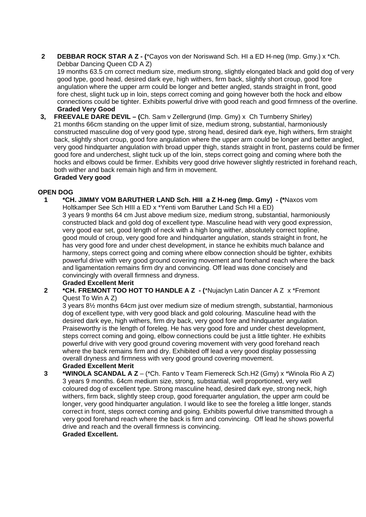**2 DEBBAR ROCK STAR A Z - (**\*Cayos von der Noriswand Sch. HI a ED H-neg (Imp. Gmy.) x \*Ch. Debbar Dancing Queen CD A Z)

19 months 63.5 cm correct medium size, medium strong, slightly elongated black and gold dog of very good type, good head, desired dark eye, high withers, firm back, slightly short croup, good fore angulation where the upper arm could be longer and better angled, stands straight in front, good fore chest, slight tuck up in loin, steps correct coming and going however both the hock and elbow connections could be tighter. Exhibits powerful drive with good reach and good firmness of the overline. **Graded Very Good** 

**3, FREEVALE DARE DEVIL – (**Ch. Sam v Zellergrund (Imp. Gmy) x Ch Turnberry Shirley) 21 months 66cm standing on the upper limit of size, medium strong, substantial, harmoniously constructed masculine dog of very good type, strong head, desired dark eye, high withers, firm straight back, slightly short croup, good fore angulation where the upper arm could be longer and better angled, very good hindquarter angulation with broad upper thigh, stands straight in front, pasterns could be firmer good fore and underchest, slight tuck up of the loin, steps correct going and coming where both the hocks and elbows could be firmer. Exhibits very good drive however slightly restricted in forehand reach, both wither and back remain high and firm in movement. **Graded Very good** 

#### **OPEN DOG**

**1 \*CH. JIMMY VOM BARUTHER LAND Sch. HIII a Z H-neg (Imp. Gmy) - (\***Naxos vom Holtkamper See Sch HIII a ED x \*Yenti vom Baruther Land Sch HI a ED)

3 years 9 months 64 cm Just above medium size, medium strong, substantial, harmoniously constructed black and gold dog of excellent type. Masculine head with very good expression, very good ear set, good length of neck with a high long wither, absolutely correct topline, good mould of croup, very good fore and hindquarter angulation, stands straight in front, he has very good fore and under chest development, in stance he exhibits much balance and harmony, steps correct going and coming where elbow connection should be tighter, exhibits powerful drive with very good ground covering movement and forehand reach where the back and ligamentation remains firm dry and convincing. Off lead was done concisely and convincingly with overall firmness and dryness.

## **Graded Excellent Merit**

**2 \*CH. FREMONT TOO HOT TO HANDLE A Z - (**\*Nujaclyn Latin Dancer A Z x \*Fremont Quest To Win A Z)

3 years 8½ months 64cm just over medium size of medium strength, substantial, harmonious dog of excellent type, with very good black and gold colouring. Masculine head with the desired dark eye, high withers, firm dry back, very good fore and hindquarter angulation. Praiseworthy is the length of foreleg. He has very good fore and under chest development, steps correct coming and going, elbow connections could be just a little tighter. He exhibits powerful drive with very good ground covering movement with very good forehand reach where the back remains firm and dry. Exhibited off lead a very good display possessing overall dryness and firmness with very good ground covering movement. **Graded Excellent Merit** 

**3 \*WINOLA SCANDAL A Z** – (\*Ch. Fanto v Team Fiemereck Sch.H2 (Gmy) x \*Winola Rio A Z) 3 years 9 months. 64cm medium size, strong, substantial, well proportioned, very well coloured dog of excellent type. Strong masculine head, desired dark eye, strong neck, high withers, firm back, slightly steep croup, good forequarter angulation, the upper arm could be longer, very good hindquarter angulation. I would like to see the foreleg a little longer, stands correct in front, steps correct coming and going. Exhibits powerful drive transmitted through a very good forehand reach where the back is firm and convincing. Off lead he shows powerful drive and reach and the overall firmness is convincing.

## **Graded Excellent.**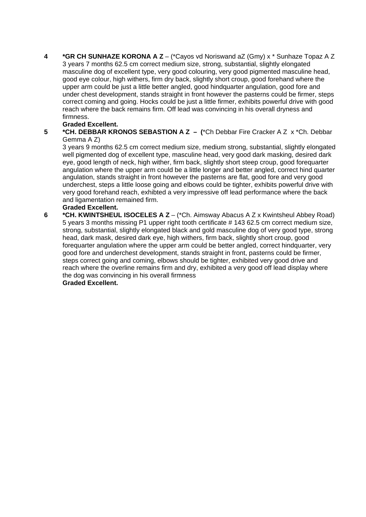**4 \*GR CH SUNHAZE KORONA A Z** – (\*Cayos vd Noriswand aZ (Gmy) x \* Sunhaze Topaz A Z 3 years 7 months 62.5 cm correct medium size, strong, substantial, slightly elongated masculine dog of excellent type, very good colouring, very good pigmented masculine head, good eye colour, high withers, firm dry back, slightly short croup, good forehand where the upper arm could be just a little better angled, good hindquarter angulation, good fore and under chest development, stands straight in front however the pasterns could be firmer, steps correct coming and going. Hocks could be just a little firmer, exhibits powerful drive with good reach where the back remains firm. Off lead was convincing in his overall dryness and firmness.

#### **Graded Excellent.**

**5 \*CH. DEBBAR KRONOS SEBASTION A Z – (**\*Ch Debbar Fire Cracker A Z x \*Ch. Debbar Gemma A Z)

3 years 9 months 62.5 cm correct medium size, medium strong, substantial, slightly elongated well pigmented dog of excellent type, masculine head, very good dark masking, desired dark eye, good length of neck, high wither, firm back, slightly short steep croup, good forequarter angulation where the upper arm could be a little longer and better angled, correct hind quarter angulation, stands straight in front however the pasterns are flat, good fore and very good underchest, steps a little loose going and elbows could be tighter, exhibits powerful drive with very good forehand reach, exhibted a very impressive off lead performance where the back and ligamentation remained firm.

#### **Graded Excellent.**

**6 \*CH. KWINTSHEUL ISOCELES A Z** – (\*Ch. Aimsway Abacus A Z x Kwintsheul Abbey Road) 5 years 3 months missing P1 upper right tooth certificate # 143 62.5 cm correct medium size, strong, substantial, slightly elongated black and gold masculine dog of very good type, strong head, dark mask, desired dark eye, high withers, firm back, slightly short croup, good forequarter angulation where the upper arm could be better angled, correct hindquarter, very good fore and underchest development, stands straight in front, pasterns could be firmer, steps correct going and coming, elbows should be tighter, exhibited very good drive and reach where the overline remains firm and dry, exhibited a very good off lead display where the dog was convincing in his overall firmness **Graded Excellent.**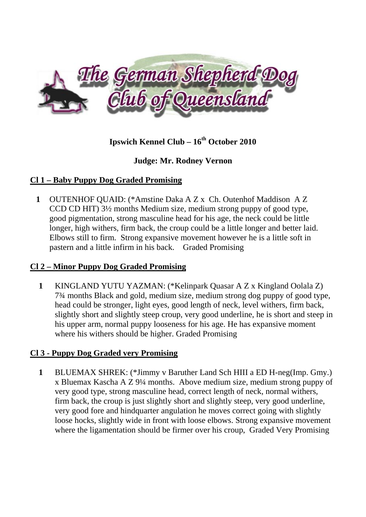

# **Ipswich Kennel Club – 16<sup>th</sup> October 2010**

# **Judge: Mr. Rodney Vernon**

# **Cl 1 – Baby Puppy Dog Graded Promising**

**1** OUTENHOF QUAID: (\*Amstine Daka A Z x Ch. Outenhof Maddison A Z CCD CD HIT) 3½ months Medium size, medium strong puppy of good type, good pigmentation, strong masculine head for his age, the neck could be little longer, high withers, firm back, the croup could be a little longer and better laid. Elbows still to firm. Strong expansive movement however he is a little soft in pastern and a little infirm in his back. Graded Promising

## **Cl 2 – Minor Puppy Dog Graded Promising**

**1** KINGLAND YUTU YAZMAN: (\*Kelinpark Quasar A Z x Kingland Oolala Z) 7¾ months Black and gold, medium size, medium strong dog puppy of good type, head could be stronger, light eyes, good length of neck, level withers, firm back, slightly short and slightly steep croup, very good underline, he is short and steep in his upper arm, normal puppy looseness for his age. He has expansive moment where his withers should be higher. Graded Promising

# **Cl 3 - Puppy Dog Graded very Promising**

**1** BLUEMAX SHREK: (\*Jimmy v Baruther Land Sch HIII a ED H-neg(Imp. Gmy.) x Bluemax Kascha A Z 9¼ months. Above medium size, medium strong puppy of very good type, strong masculine head, correct length of neck, normal withers, firm back, the croup is just slightly short and slightly steep, very good underline, very good fore and hindquarter angulation he moves correct going with slightly loose hocks, slightly wide in front with loose elbows. Strong expansive movement where the ligamentation should be firmer over his croup, Graded Very Promising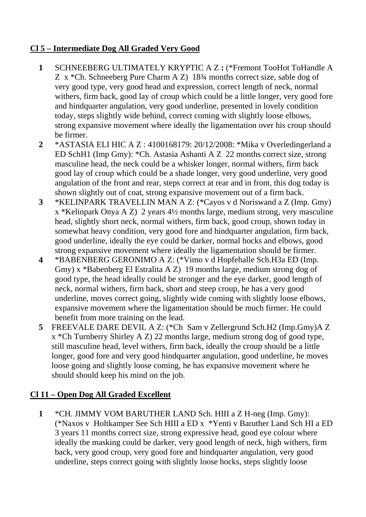# **Cl 5 – Intermediate Dog All Graded Very Good**

- **1** SCHNEEBERG ULTIMATELY KRYPTIC A Z **:** (\*Fremont TooHot ToHandle A Z x \*Ch. Schneeberg Pure Charm A Z) 18¾ months correct size, sable dog of very good type, very good head and expression, correct length of neck, normal withers, firm back, good lay of croup which could be a little longer, very good fore and hindquarter angulation, very good underline, presented in lovely condition today, steps slightly wide behind, correct coming with slightly loose elbows, strong expansive movement where ideally the ligamentation over his croup should be firmer.
- **2** \*ASTASIA ELI HIC A Z : 4100168179: 20/12/2008: \*Mika v Overledingerland a ED SchH1 (Imp Gmy): \*Ch. Astasia Ashanti A Z 22 months correct size, strong masculine head, the neck could be a whisker longer, normal withers, firm back good lay of croup which could be a shade longer, very good underline, very good angulation of the front and rear, steps correct at rear and in front, this dog today is shown slightly out of coat, strong expansive movement out of a firm back.
- **3** \*KELINPARK TRAVELLIN MAN A Z: (\*Cayos v d Noriswand a Z (Imp. Gmy) x \*Kelinpark Onya A Z) 2 years 4½ months large, medium strong, very masculine head, slightly short neck, normal withers, firm back, good croup, shown today in somewhat heavy condition, very good fore and hindquarter angulation, firm back, good underline, ideally the eye could be darker, normal hocks and elbows, good strong expansive movement where ideally the ligamentation should be firmer.
- **4** \*BABENBERG GERONIMO A Z: (\*Vimo v d Hopfehalle Sch.H3a ED (Imp. Gmy) x \*Babenberg El Estralita A Z) 19 months large, medium strong dog of good type, the head ideally could be stronger and the eye darker, good length of neck, normal withers, firm back, short and steep croup, he has a very good underline, moves correct going, slightly wide coming with slightly loose elbows, expansive movement where the ligamentation should be much firmer. He could benefit from more training on the lead.
- **5** FREEVALE DARE DEVIL A Z: (\*Ch Sam v Zellergrund Sch.H2 (Imp.Gmy)A Z x \*Ch Turnberry Shirley A Z) 22 months large, medium strong dog of good type, still masculine head, level withers, firm back, ideally the croup should be a little longer, good fore and very good hindquarter angulation, good underline, he moves loose going and slightly loose coming, he has expansive movement where he should should keep his mind on the job.

# **Cl 11 – Open Dog All Graded Excellent**

**1** \*CH. JIMMY VOM BARUTHER LAND Sch. HIII a Z H-neg (Imp. Gmy): (\*Naxos v Holtkamper See Sch HIII a ED x \*Yenti v Baruther Land Sch HI a ED 3 years 11 months correct size, strong expressive head, good eye colour where ideally the masking could be darker, very good length of neck, high withers, firm back, very good croup, very good fore and hindquarter angulation, very good underline, steps correct going with slightly loose hocks, steps slightly loose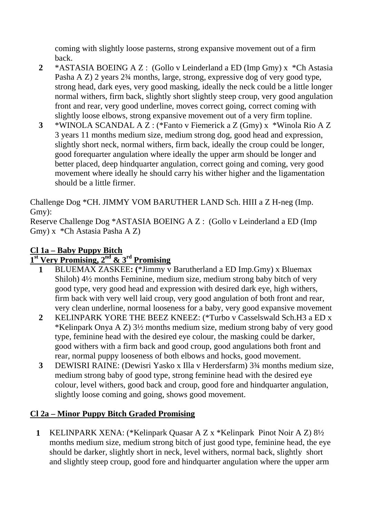coming with slightly loose pasterns, strong expansive movement out of a firm back.

- **2** \*ASTASIA BOEING A Z : (Gollo v Leinderland a ED (Imp Gmy) x \*Ch Astasia Pasha A Z) 2 years 2¾ months, large, strong, expressive dog of very good type, strong head, dark eyes, very good masking, ideally the neck could be a little longer normal withers, firm back, slightly short slightly steep croup, very good angulation front and rear, very good underline, moves correct going, correct coming with slightly loose elbows, strong expansive movement out of a very firm topline.
- **3** \*WINOLA SCANDAL A Z : (\*Fanto v Fiemerick a Z (Gmy) x \*Winola Rio A Z 3 years 11 months medium size, medium strong dog, good head and expression, slightly short neck, normal withers, firm back, ideally the croup could be longer, good forequarter angulation where ideally the upper arm should be longer and better placed, deep hindquarter angulation, correct going and coming, very good movement where ideally he should carry his wither higher and the ligamentation should be a little firmer.

Challenge Dog \*CH. JIMMY VOM BARUTHER LAND Sch. HIII a Z H-neg (Imp. Gmy):

Reserve Challenge Dog \*ASTASIA BOEING A Z : (Gollo v Leinderland a ED (Imp Gmy) x \*Ch Astasia Pasha A Z)

# **Cl 1a – Baby Puppy Bitch**

# **1st Very Promising, 2nd & 3rd Promising**

- **1** BLUEMAX ZASKEE**: (**\*Jimmy v Barutherland a ED Imp.Gmy) x Bluemax Shiloh) 4½ months Feminine, medium size, medium strong baby bitch of very good type, very good head and expression with desired dark eye, high withers, firm back with very well laid croup, very good angulation of both front and rear, very clean underline, normal looseness for a baby, very good expansive movement
- **2** KELINPARK YORE THE BEEZ KNEEZ: (\*Turbo v Casselswald Sch.H3 a ED x \*Kelinpark Onya A Z) 3½ months medium size, medium strong baby of very good type, feminine head with the desired eye colour, the masking could be darker, good withers with a firm back and good croup, good angulations both front and rear, normal puppy looseness of both elbows and hocks, good movement.
- **3** DEWISRI RAINE: (Dewisri Yasko x Illa v Herdersfarm) 3¾ months medium size, medium strong baby of good type, strong feminine head with the desired eye colour, level withers, good back and croup, good fore and hindquarter angulation, slightly loose coming and going, shows good movement.

# **Cl 2a – Minor Puppy Bitch Graded Promising**

**1** KELINPARK XENA: (\*Kelinpark Quasar A Z x \*Kelinpark Pinot Noir A Z) 8½ months medium size, medium strong bitch of just good type, feminine head, the eye should be darker, slightly short in neck, level withers, normal back, slightly short and slightly steep croup, good fore and hindquarter angulation where the upper arm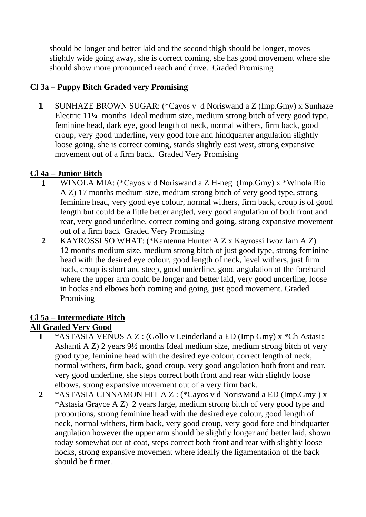should be longer and better laid and the second thigh should be longer, moves slightly wide going away, she is correct coming, she has good movement where she should show more pronounced reach and drive. Graded Promising

# **Cl 3a – Puppy Bitch Graded very Promising**

**1** SUNHAZE BROWN SUGAR: (\*Cayos v d Noriswand a Z (Imp.Gmy) x Sunhaze Electric 11¼ months Ideal medium size, medium strong bitch of very good type, feminine head, dark eye, good length of neck, normal withers, firm back, good croup, very good underline, very good fore and hindquarter angulation slightly loose going, she is correct coming, stands slightly east west, strong expansive movement out of a firm back. Graded Very Promising

# **Cl 4a – Junior Bitch**

- **1** WINOLA MIA: (\*Cayos v d Noriswand a Z H-neg (Imp.Gmy) x \*Winola Rio A Z) 17 months medium size, medium strong bitch of very good type, strong feminine head, very good eye colour, normal withers, firm back, croup is of good length but could be a little better angled, very good angulation of both front and rear, very good underline, correct coming and going, strong expansive movement out of a firm back Graded Very Promising
- **2** KAYROSSI SO WHAT: (\*Kantenna Hunter A Z x Kayrossi Iwoz Iam A Z) 12 months medium size, medium strong bitch of just good type, strong feminine head with the desired eye colour, good length of neck, level withers, just firm back, croup is short and steep, good underline, good angulation of the forehand where the upper arm could be longer and better laid, very good underline, loose in hocks and elbows both coming and going, just good movement. Graded Promising

# **Cl 5a – Intermediate Bitch**

# **All Graded Very Good**

- **1** \*ASTASIA VENUS A Z : (Gollo v Leinderland a ED (Imp Gmy) x \*Ch Astasia Ashanti A Z) 2 years 9½ months Ideal medium size, medium strong bitch of very good type, feminine head with the desired eye colour, correct length of neck, normal withers, firm back, good croup, very good angulation both front and rear, very good underline, she steps correct both front and rear with slightly loose elbows, strong expansive movement out of a very firm back.
- **2** \*ASTASIA CINNAMON HIT A Z : (\*Cayos v d Noriswand a ED (Imp.Gmy ) x \*Astasia Grayce A Z) 2 years large, medium strong bitch of very good type and proportions, strong feminine head with the desired eye colour, good length of neck, normal withers, firm back, very good croup, very good fore and hindquarter angulation however the upper arm should be slightly longer and better laid, shown today somewhat out of coat, steps correct both front and rear with slightly loose hocks, strong expansive movement where ideally the ligamentation of the back should be firmer.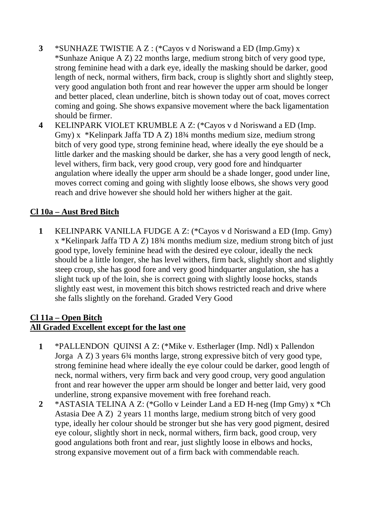- **3** \*SUNHAZE TWISTIE A Z : (\*Cayos v d Noriswand a ED (Imp.Gmy) x \*Sunhaze Anique A Z) 22 months large, medium strong bitch of very good type, strong feminine head with a dark eye, ideally the masking should be darker, good length of neck, normal withers, firm back, croup is slightly short and slightly steep, very good angulation both front and rear however the upper arm should be longer and better placed, clean underline, bitch is shown today out of coat, moves correct coming and going. She shows expansive movement where the back ligamentation should be firmer.
- **4** KELINPARK VIOLET KRUMBLE A Z: (\*Cayos v d Noriswand a ED (Imp. Gmy) x \*Kelinpark Jaffa TD A Z) 18¾ months medium size, medium strong bitch of very good type, strong feminine head, where ideally the eye should be a little darker and the masking should be darker, she has a very good length of neck, level withers, firm back, very good croup, very good fore and hindquarter angulation where ideally the upper arm should be a shade longer, good under line, moves correct coming and going with slightly loose elbows, she shows very good reach and drive however she should hold her withers higher at the gait.

# **Cl 10a – Aust Bred Bitch**

**1** KELINPARK VANILLA FUDGE A Z: (\*Cayos v d Noriswand a ED (Imp. Gmy) x \*Kelinpark Jaffa TD A Z) 18¾ months medium size, medium strong bitch of just good type, lovely feminine head with the desired eye colour, ideally the neck should be a little longer, she has level withers, firm back, slightly short and slightly steep croup, she has good fore and very good hindquarter angulation, she has a slight tuck up of the loin, she is correct going with slightly loose hocks, stands slightly east west, in movement this bitch shows restricted reach and drive where she falls slightly on the forehand. Graded Very Good

## **Cl 11a – Open Bitch All Graded Excellent except for the last one**

- **1** \*PALLENDON QUINSI A Z: (\*Mike v. Estherlager (Imp. Ndl) x Pallendon Jorga A Z) 3 years 6¾ months large, strong expressive bitch of very good type, strong feminine head where ideally the eye colour could be darker, good length of neck, normal withers, very firm back and very good croup, very good angulation front and rear however the upper arm should be longer and better laid, very good underline, strong expansive movement with free forehand reach.
- **2** \*ASTASIA TELINA A Z: (\*Gollo v Leinder Land a ED H-neg (Imp Gmy) x \*Ch Astasia Dee A Z) 2 years 11 months large, medium strong bitch of very good type, ideally her colour should be stronger but she has very good pigment, desired eye colour, slightly short in neck, normal withers, firm back, good croup, very good angulations both front and rear, just slightly loose in elbows and hocks, strong expansive movement out of a firm back with commendable reach.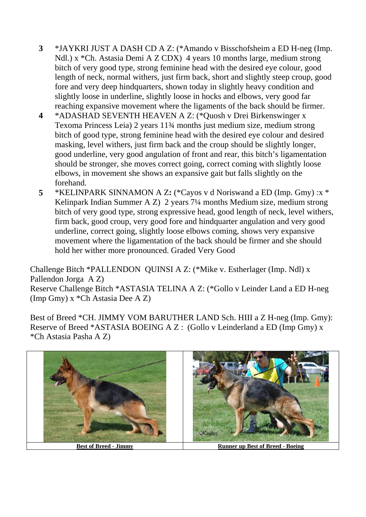- **3** \*JAYKRI JUST A DASH CD A Z: (\*Amando v Bisschofsheim a ED H-neg (Imp. Ndl.) x \*Ch. Astasia Demi A Z CDX) 4 years 10 months large, medium strong bitch of very good type, strong feminine head with the desired eye colour, good length of neck, normal withers, just firm back, short and slightly steep croup, good fore and very deep hindquarters, shown today in slightly heavy condition and slightly loose in underline, slightly loose in hocks and elbows, very good far reaching expansive movement where the ligaments of the back should be firmer.
- **4** \*ADASHAD SEVENTH HEAVEN A Z: (\*Quosh v Drei Birkenswinger x Texoma Princess Leia) 2 years 11¾ months just medium size, medium strong bitch of good type, strong feminine head with the desired eye colour and desired masking, level withers, just firm back and the croup should be slightly longer, good underline, very good angulation of front and rear, this bitch's ligamentation should be stronger, she moves correct going, correct coming with slightly loose elbows, in movement she shows an expansive gait but falls slightly on the forehand.
- **5** \*KELINPARK SINNAMON A Z**:** (\*Cayos v d Noriswand a ED (Imp. Gmy) :x \* Kelinpark Indian Summer A Z) 2 years 7¼ months Medium size, medium strong bitch of very good type, strong expressive head, good length of neck, level withers, firm back, good croup, very good fore and hindquarter angulation and very good underline, correct going, slightly loose elbows coming, shows very expansive movement where the ligamentation of the back should be firmer and she should hold her wither more pronounced. Graded Very Good

Challenge Bitch \*PALLENDON QUINSI A Z: (\*Mike v. Estherlager (Imp. Ndl) x Pallendon Jorga A Z)

Reserve Challenge Bitch \*ASTASIA TELINA A Z: (\*Gollo v Leinder Land a ED H-neg (Imp Gmy) x \*Ch Astasia Dee A Z)

Best of Breed \*CH. JIMMY VOM BARUTHER LAND Sch. HIII a Z H-neg (Imp. Gmy): Reserve of Breed \*ASTASIA BOEING A Z : (Gollo v Leinderland a ED (Imp Gmy) x \*Ch Astasia Pasha A Z)

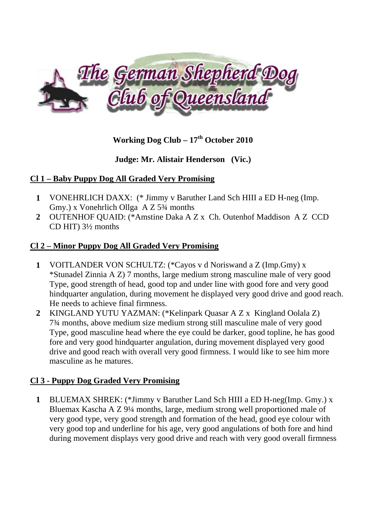

# **Working Dog Club – 17th October 2010**

# **Judge: Mr. Alistair Henderson (Vic.)**

## **Cl 1 – Baby Puppy Dog All Graded Very Promising**

- **1** VONEHRLICH DAXX: (\* Jimmy v Baruther Land Sch HIII a ED H-neg (Imp. Gmy.) x Vonehrlich Ollga A Z 5¾ months
- **2** OUTENHOF QUAID: (\*Amstine Daka A Z x Ch. Outenhof Maddison A Z CCD CD HIT) 3½ months

## **Cl 2 – Minor Puppy Dog All Graded Very Promising**

- **1** VOITLANDER VON SCHULTZ: (\*Cayos v d Noriswand a Z (Imp.Gmy) x \*Stunadel Zinnia A Z) 7 months, large medium strong masculine male of very good Type, good strength of head, good top and under line with good fore and very good hindquarter angulation, during movement he displayed very good drive and good reach. He needs to achieve final firmness.
- **2** KINGLAND YUTU YAZMAN: (\*Kelinpark Quasar A Z x Kingland Oolala Z) 7¾ months, above medium size medium strong still masculine male of very good Type, good masculine head where the eye could be darker, good topline, he has good fore and very good hindquarter angulation, during movement displayed very good drive and good reach with overall very good firmness. I would like to see him more masculine as he matures.

# **Cl 3 - Puppy Dog Graded Very Promising**

**1** BLUEMAX SHREK: (\*Jimmy v Baruther Land Sch HIII a ED H-neg(Imp. Gmy.) x Bluemax Kascha A Z 9¼ months, large, medium strong well proportioned male of very good type, very good strength and formation of the head, good eye colour with very good top and underline for his age, very good angulations of both fore and hind during movement displays very good drive and reach with very good overall firmness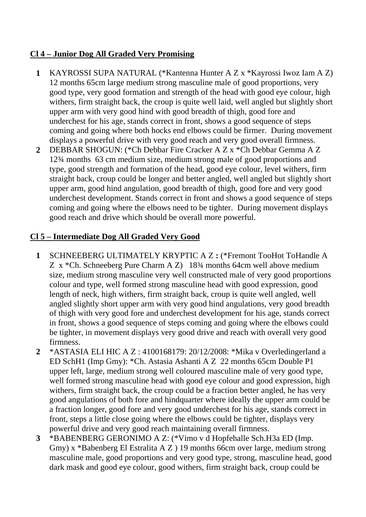## **Cl 4 – Junior Dog All Graded Very Promising**

- **1** KAYROSSI SUPA NATURAL (\*Kantenna Hunter A Z x \*Kayrossi Iwoz Iam A Z) 12 months 65cm large medium strong masculine male of good proportions, very good type, very good formation and strength of the head with good eye colour, high withers, firm straight back, the croup is quite well laid, well angled but slightly short upper arm with very good hind with good breadth of thigh, good fore and underchest for his age, stands correct in front, shows a good sequence of steps coming and going where both hocks end elbows could be firmer. During movement displays a powerful drive with very good reach and very good overall firmness.
- **2** DEBBAR SHOGUN: (\*Ch Debbar Fire Cracker A Z x \*Ch Debbar Gemma A Z 12¾ months 63 cm medium size, medium strong male of good proportions and type, good strength and formation of the head, good eye colour, level withers, firm straight back, croup could be longer and better angled, well angled but slightly short upper arm, good hind angulation, good breadth of thigh, good fore and very good underchest development. Stands correct in front and shows a good sequence of steps coming and going where the elbows need to be tighter. During movement displays good reach and drive which should be overall more powerful.

# **Cl 5 – Intermediate Dog All Graded Very Good**

- **1** SCHNEEBERG ULTIMATELY KRYPTIC A Z **:** (\*Fremont TooHot ToHandle A Z x \*Ch. Schneeberg Pure Charm A Z) 18¾ months 64cm well above medium size, medium strong masculine very well constructed male of very good proportions colour and type, well formed strong masculine head with good expression, good length of neck, high withers, firm straight back, croup is quite well angled, well angled slightly short upper arm with very good hind angulations, very good breadth of thigh with very good fore and underchest development for his age, stands correct in front, shows a good sequence of steps coming and going where the elbows could be tighter, in movement displays very good drive and reach with overall very good firmness.
- **2** \*ASTASIA ELI HIC A Z : 4100168179: 20/12/2008: \*Mika v Overledingerland a ED SchH1 (Imp Gmy): \*Ch. Astasia Ashanti A Z 22 months 65cm Double P1 upper left, large, medium strong well coloured masculine male of very good type, well formed strong masculine head with good eye colour and good expression, high withers, firm straight back, the croup could be a fraction better angled, he has very good angulations of both fore and hindquarter where ideally the upper arm could be a fraction longer, good fore and very good underchest for his age, stands correct in front, steps a little close going where the elbows could be tighter, displays very powerful drive and very good reach maintaining overall firmness.
- **3** \*BABENBERG GERONIMO A Z: (\*Vimo v d Hopfehalle Sch.H3a ED (Imp. Gmy) x \*Babenberg El Estralita A Z ) 19 months 66cm over large, medium strong masculine male, good proportions and very good type, strong, masculine head, good dark mask and good eye colour, good withers, firm straight back, croup could be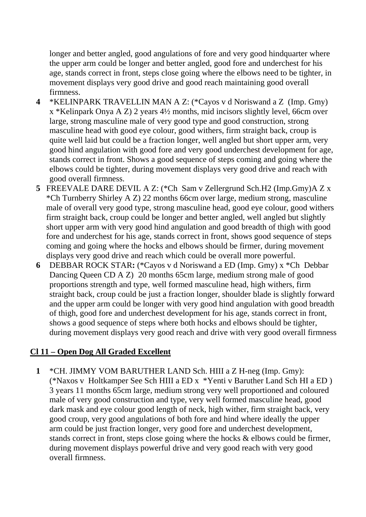longer and better angled, good angulations of fore and very good hindquarter where the upper arm could be longer and better angled, good fore and underchest for his age, stands correct in front, steps close going where the elbows need to be tighter, in movement displays very good drive and good reach maintaining good overall firmness.

- **4** \*KELINPARK TRAVELLIN MAN A Z: (\*Cayos v d Noriswand a Z (Imp. Gmy) x \*Kelinpark Onya A Z) 2 years 4½ months, mid incisors slightly level, 66cm over large, strong masculine male of very good type and good construction, strong masculine head with good eye colour, good withers, firm straight back, croup is quite well laid but could be a fraction longer, well angled but short upper arm, very good hind angulation with good fore and very good underchest development for age, stands correct in front. Shows a good sequence of steps coming and going where the elbows could be tighter, during movement displays very good drive and reach with good overall firmness.
- **5** FREEVALE DARE DEVIL A Z: (\*Ch Sam v Zellergrund Sch.H2 (Imp.Gmy)A Z x \*Ch Turnberry Shirley A Z) 22 months 66cm over large, medium strong, masculine male of overall very good type, strong masculine head, good eye colour, good withers firm straight back, croup could be longer and better angled, well angled but slightly short upper arm with very good hind angulation and good breadth of thigh with good fore and underchest for his age, stands correct in front, shows good sequence of steps coming and going where the hocks and elbows should be firmer, during movement displays very good drive and reach which could be overall more powerful.
- **6** DEBBAR ROCK STAR**:** (\*Cayos v d Noriswand a ED (Imp. Gmy) x \*Ch Debbar Dancing Queen CD A Z) 20 months 65cm large, medium strong male of good proportions strength and type, well formed masculine head, high withers, firm straight back, croup could be just a fraction longer, shoulder blade is slightly forward p and the upper arm could be longer with very good hind angulation with good breadth of thigh, good fore and underchest development for his age, stands correct in front, shows a good sequence of steps where both hocks and elbows should be tighter, during movement displays very good reach and drive with very good overall firmness

## **Cl 11 – Open Dog All Graded Excellent**

**1** \*CH. JIMMY VOM BARUTHER LAND Sch. HIII a Z H-neg (Imp. Gmy): (\*Naxos v Holtkamper See Sch HIII a ED x \*Yenti v Baruther Land Sch HI a ED ) 3 years 11 months 65cm large, medium strong very well proportioned and coloured male of very good construction and type, very well formed masculine head, good dark mask and eye colour good length of neck, high wither, firm straight back, very good croup, very good angulations of both fore and hind where ideally the upper arm could be just fraction longer, very good fore and underchest development, stands correct in front, steps close going where the hocks & elbows could be firmer, during movement displays powerful drive and very good reach with very good overall firmness.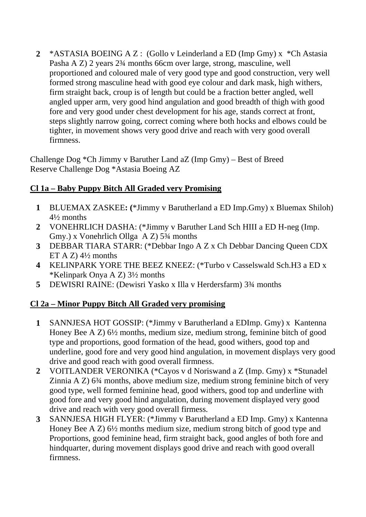**2** \*ASTASIA BOEING A Z : (Gollo v Leinderland a ED (Imp Gmy) x \*Ch Astasia Pasha A Z) 2 years 2¾ months 66cm over large, strong, masculine, well proportioned and coloured male of very good type and good construction, very well formed strong masculine head with good eye colour and dark mask, high withers, firm straight back, croup is of length but could be a fraction better angled, well angled upper arm, very good hind angulation and good breadth of thigh with good fore and very good under chest development for his age, stands correct at front, steps slightly narrow going, correct coming where both hocks and elbows could be tighter, in movement shows very good drive and reach with very good overall firmness.

Challenge Dog \*Ch Jimmy v Baruther Land aZ (Imp Gmy) – Best of Breed Reserve Challenge Dog \*Astasia Boeing AZ

# **Cl 1a – Baby Puppy Bitch All Graded very Promising**

- **1** BLUEMAX ZASKEE**: (**\*Jimmy v Barutherland a ED Imp.Gmy) x Bluemax Shiloh) 4½ months
- **2** VONEHRLICH DASHA: (\*Jimmy v Baruther Land Sch HIII a ED H-neg (Imp. Gmy.) x Vonehrlich Ollga A Z) 5¾ months
- **3** DEBBAR TIARA STARR: (\*Debbar Ingo A Z x Ch Debbar Dancing Queen CDX ET A Z)  $4\frac{1}{2}$  months
- **4** KELINPARK YORE THE BEEZ KNEEZ: (\*Turbo v Casselswald Sch.H3 a ED x \*Kelinpark Onya A Z) 3½ months
- **5** DEWISRI RAINE: (Dewisri Yasko x Illa v Herdersfarm) 3¾ months

# **Cl 2a – Minor Puppy Bitch All Graded very promising**

- **1** SANNJESA HOT GOSSIP: (\*Jimmy v Barutherland a EDImp. Gmy) x Kantenna Honey Bee A Z) 6½ months, medium size, medium strong, feminine bitch of good type and proportions, good formation of the head, good withers, good top and underline, good fore and very good hind angulation, in movement displays very good drive and good reach with good overall firmness.
- **2** VOITLANDER VERONIKA (\*Cayos v d Noriswand a Z (Imp. Gmy) x \*Stunadel Zinnia A Z) 6¾ months, above medium size, medium strong feminine bitch of very good type, well formed feminine head, good withers, good top and underline with good fore and very good hind angulation, during movement displayed very good drive and reach with very good overall firmess.
- **3** SANNJESA HIGH FLYER: (\*Jimmy v Barutherland a ED Imp. Gmy) x Kantenna Honey Bee A Z) 6½ months medium size, medium strong bitch of good type and Proportions, good feminine head, firm straight back, good angles of both fore and hindquarter, during movement displays good drive and reach with good overall firmness.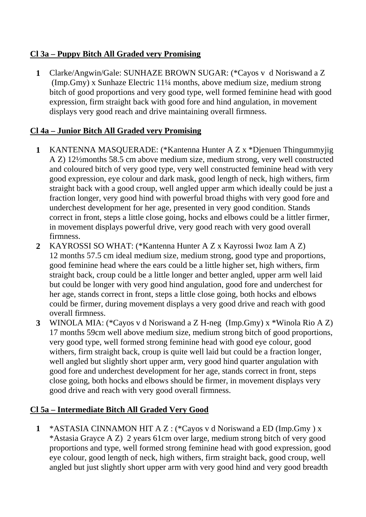# **Cl 3a – Puppy Bitch All Graded very Promising**

**1** Clarke/Angwin/Gale: SUNHAZE BROWN SUGAR: (\*Cayos v d Noriswand a Z (Imp.Gmy) x Sunhaze Electric 11¼ months, above medium size, medium strong bitch of good proportions and very good type, well formed feminine head with good expression, firm straight back with good fore and hind angulation, in movement displays very good reach and drive maintaining overall firmness.

# **Cl 4a – Junior Bitch All Graded very Promising**

- **1** KANTENNA MASQUERADE: (\*Kantenna Hunter A Z x \*Djenuen Thingummyjig A Z) 12½months 58.5 cm above medium size, medium strong, very well constructed and coloured bitch of very good type, very well constructed feminine head with very good expression, eye colour and dark mask, good length of neck, high withers, firm straight back with a good croup, well angled upper arm which ideally could be just a fraction longer, very good hind with powerful broad thighs with very good fore and underchest development for her age, presented in very good condition. Stands correct in front, steps a little close going, hocks and elbows could be a littler firmer, in movement displays powerful drive, very good reach with very good overall firmness.
- **2** KAYROSSI SO WHAT: (\*Kantenna Hunter A Z x Kayrossi Iwoz Iam A Z) 12 months 57.5 cm ideal medium size, medium strong, good type and proportions, good feminine head where the ears could be a little higher set, high withers, firm straight back, croup could be a little longer and better angled, upper arm well laid but could be longer with very good hind angulation, good fore and underchest for her age, stands correct in front, steps a little close going, both hocks and elbows could be firmer, during movement displays a very good drive and reach with good overall firmness.
- **3** WINOLA MIA: (\*Cayos v d Noriswand a Z H-neg (Imp.Gmy) x \*Winola Rio A Z) 17 months 59cm well above medium size, medium strong bitch of good proportions, very good type, well formed strong feminine head with good eye colour, good withers, firm straight back, croup is quite well laid but could be a fraction longer, well angled but slightly short upper arm, very good hind quarter angulation with good fore and underchest development for her age, stands correct in front, steps close going, both hocks and elbows should be firmer, in movement displays very good drive and reach with very good overall firmness.

# **Cl 5a – Intermediate Bitch All Graded Very Good**

**1** \*ASTASIA CINNAMON HIT A Z : (\*Cayos v d Noriswand a ED (Imp.Gmy ) x \*Astasia Grayce A Z) 2 years 61cm over large, medium strong bitch of very good proportions and type, well formed strong feminine head with good expression, good eye colour, good length of neck, high withers, firm straight back, good croup, well angled but just slightly short upper arm with very good hind and very good breadth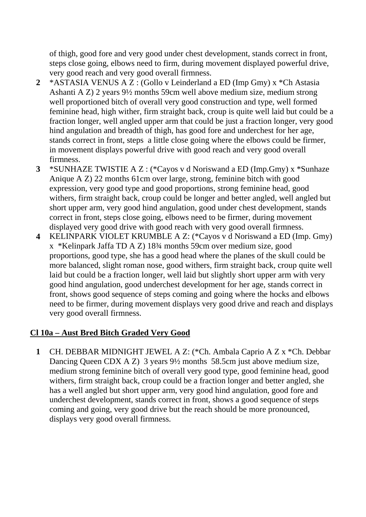of thigh, good fore and very good under chest development, stands correct in front, steps close going, elbows need to firm, during movement displayed powerful drive, very good reach and very good overall firmness.

- **2** \*ASTASIA VENUS A Z : (Gollo v Leinderland a ED (Imp Gmy) x \*Ch Astasia Ashanti A Z) 2 years 9½ months 59cm well above medium size, medium strong well proportioned bitch of overall very good construction and type, well formed feminine head, high wither, firm straight back, croup is quite well laid but could be a fraction longer, well angled upper arm that could be just a fraction longer, very good hind angulation and breadth of thigh, has good fore and underchest for her age, stands correct in front, steps a little close going where the elbows could be firmer, in movement displays powerful drive with good reach and very good overall firmness.
- **3** \*SUNHAZE TWISTIE A Z : (\*Cayos v d Noriswand a ED (Imp.Gmy) x \*Sunhaze Anique A Z) 22 months 61cm over large, strong, feminine bitch with good expression, very good type and good proportions, strong feminine head, good withers, firm straight back, croup could be longer and better angled, well angled but short upper arm, very good hind angulation, good under chest development, stands correct in front, steps close going, elbows need to be firmer, during movement displayed very good drive with good reach with very good overall firmness.
- **4** KELINPARK VIOLET KRUMBLE A Z: (\*Cayos v d Noriswand a ED (Imp. Gmy) x \*Kelinpark Jaffa TD A Z) 18¾ months 59cm over medium size, good proportions, good type, she has a good head where the planes of the skull could be more balanced, slight roman nose, good withers, firm straight back, croup quite well laid but could be a fraction longer, well laid but slightly short upper arm with very good hind angulation, good underchest development for her age, stands correct in front, shows good sequence of steps coming and going where the hocks and elbows need to be firmer, during movement displays very good drive and reach and displays very good overall firmness.

## **Cl 10a – Aust Bred Bitch Graded Very Good**

**1** CH. DEBBAR MIDNIGHT JEWEL A Z: (\*Ch. Ambala Caprio A Z x \*Ch. Debbar Dancing Queen CDX A Z) 3 years 9½ months 58.5cm just above medium size, medium strong feminine bitch of overall very good type, good feminine head, good withers, firm straight back, croup could be a fraction longer and better angled, she has a well angled but short upper arm, very good hind angulation, good fore and underchest development, stands correct in front, shows a good sequence of steps coming and going, very good drive but the reach should be more pronounced, displays very good overall firmness.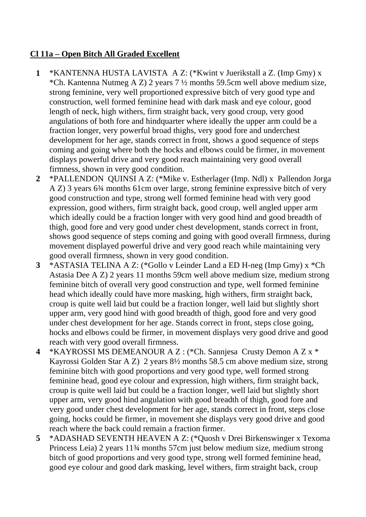## **Cl 11a – Open Bitch All Graded Excellent**

- **1** \*KANTENNA HUSTA LAVISTA A Z: (\*Kwint v Juerikstall a Z. (Imp Gmy) x \*Ch. Kantenna Nutmeg A Z) 2 years 7 ½ months 59.5cm well above medium size, strong feminine, very well proportioned expressive bitch of very good type and construction, well formed feminine head with dark mask and eye colour, good length of neck, high withers, firm straight back, very good croup, very good angulations of both fore and hindquarter where ideally the upper arm could be a fraction longer, very powerful broad thighs, very good fore and underchest development for her age, stands correct in front, shows a good sequence of steps coming and going where both the hocks and elbows could be firmer, in movement displays powerful drive and very good reach maintaining very good overall firmness, shown in very good condition.
- **2** \*PALLENDON QUINSI A Z: (\*Mike v. Estherlager (Imp. Ndl) x Pallendon Jorga A Z) 3 years 6¾ months 61cm over large, strong feminine expressive bitch of very good construction and type, strong well formed feminine head with very good expression, good withers, firm straight back, good croup, well angled upper arm which ideally could be a fraction longer with very good hind and good breadth of thigh, good fore and very good under chest development, stands correct in front, shows good sequence of steps coming and going with good overall firmness, during movement displayed powerful drive and very good reach while maintaining very good overall firmness, shown in very good condition.
- **3** \*ASTASIA TELINA A Z: (\*Gollo v Leinder Land a ED H-neg (Imp Gmy) x \*Ch Astasia Dee A Z) 2 years 11 months 59cm well above medium size, medium strong feminine bitch of overall very good construction and type, well formed feminine head which ideally could have more masking, high withers, firm straight back, croup is quite well laid but could be a fraction longer, well laid but slightly short upper arm, very good hind with good breadth of thigh, good fore and very good under chest development for her age. Stands correct in front, steps close going, hocks and elbows could be firmer, in movement displays very good drive and good reach with very good overall firmness.
- **4** \*KAYROSSI MS DEMEANOUR A Z : (\*Ch. Sannjesa Crusty Demon A Z x \* Kayrossi Golden Star A Z) 2 years 8½ months 58.5 cm above medium size, strong feminine bitch with good proportions and very good type, well formed strong feminine head, good eye colour and expression, high withers, firm straight back, croup is quite well laid but could be a fraction longer, well laid but slightly short upper arm, very good hind angulation with good breadth of thigh, good fore and very good under chest development for her age, stands correct in front, steps close going, hocks could be firmer, in movement she displays very good drive and good reach where the back could remain a fraction firmer.
- **5** \*ADASHAD SEVENTH HEAVEN A Z: (\*Quosh v Drei Birkenswinger x Texoma Princess Leia) 2 years 11¾ months 57cm just below medium size, medium strong bitch of good proportions and very good type, strong well formed feminine head, good eye colour and good dark masking, level withers, firm straight back, croup